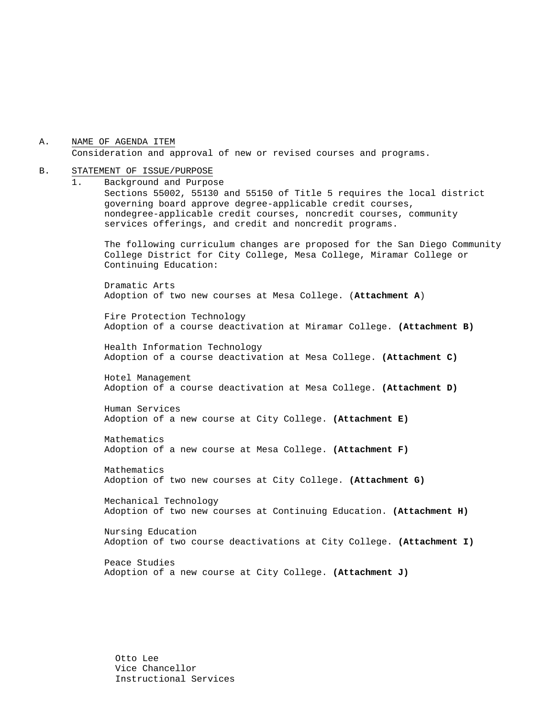A. NAME OF AGENDA ITEM Consideration and approval of new or revised courses and programs.

#### B. STATEMENT OF ISSUE/PURPOSE

1. Background and Purpose Sections 55002, 55130 and 55150 of Title 5 requires the local district governing board approve degree-applicable credit courses, nondegree-applicable credit courses, noncredit courses, community services offerings, and credit and noncredit programs.

The following curriculum changes are proposed for the San Diego Community College District for City College, Mesa College, Miramar College or Continuing Education:

Dramatic Arts Adoption of two new courses at Mesa College. (**Attachment A**)

Fire Protection Technology Adoption of a course deactivation at Miramar College. **(Attachment B)**

 Health Information Technology Adoption of a course deactivation at Mesa College. **(Attachment C)**

Hotel Management Adoption of a course deactivation at Mesa College. **(Attachment D)** 

Human Services Adoption of a new course at City College. **(Attachment E)**

Mathematics Adoption of a new course at Mesa College. **(Attachment F)**

Mathematics Adoption of two new courses at City College. **(Attachment G)**

Mechanical Technology Adoption of two new courses at Continuing Education. **(Attachment H)**

Nursing Education Adoption of two course deactivations at City College. **(Attachment I)**

Peace Studies Adoption of a new course at City College. **(Attachment J)**

Otto Lee Vice Chancellor Instructional Services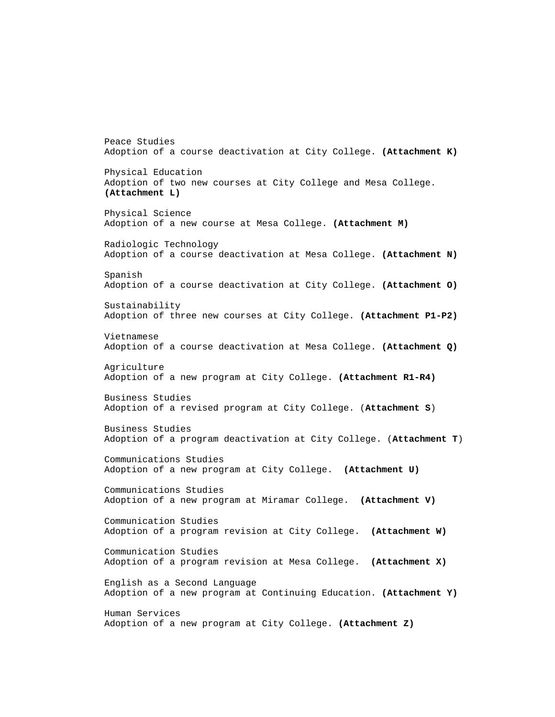Adoption of a course deactivation at City College. **(Attachment K)** Physical Education Adoption of two new courses at City College and Mesa College. **(Attachment L)** Physical Science Adoption of a new course at Mesa College. **(Attachment M)** Radiologic Technology Adoption of a course deactivation at Mesa College. **(Attachment N)** Spanish Adoption of a course deactivation at City College. **(Attachment O)** Sustainability Adoption of three new courses at City College. **(Attachment P1-P2)**  Vietnamese Adoption of a course deactivation at Mesa College. **(Attachment Q)** Agriculture Adoption of a new program at City College. **(Attachment R1-R4)** Business Studies Adoption of a revised program at City College. (**Attachment S**) Business Studies Adoption of a program deactivation at City College. (**Attachment T**) Communications Studies Adoption of a new program at City College. **(Attachment U)**  Communications Studies Adoption of a new program at Miramar College. **(Attachment V)**  Communication Studies Adoption of a program revision at City College. **(Attachment W)** Communication Studies Adoption of a program revision at Mesa College. **(Attachment X)** English as a Second Language Adoption of a new program at Continuing Education. **(Attachment Y)**  Human Services Adoption of a new program at City College. **(Attachment Z)**

Peace Studies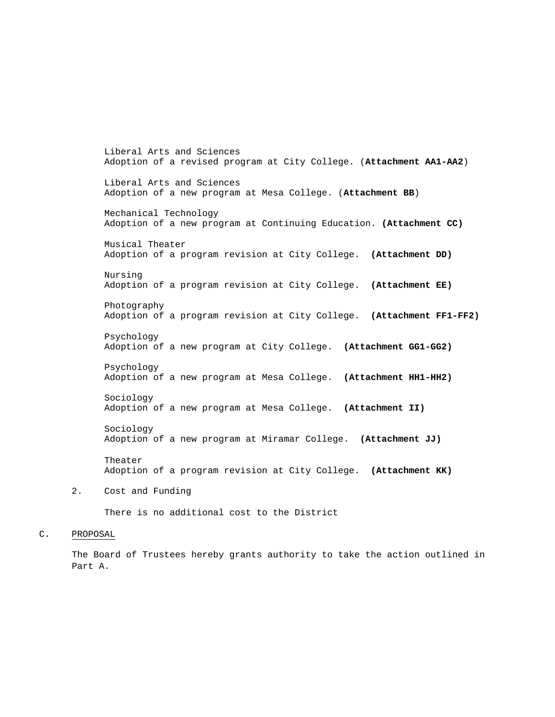Liberal Arts and Sciences Adoption of a revised program at City College. (**Attachment AA1-AA2**) Liberal Arts and Sciences Adoption of a new program at Mesa College. (**Attachment BB**) Mechanical Technology Adoption of a new program at Continuing Education. **(Attachment CC)** Musical Theater Adoption of a program revision at City College. **(Attachment DD)** Nursing Adoption of a program revision at City College. **(Attachment EE)** Photography Adoption of a program revision at City College. **(Attachment FF1-FF2)** Psychology Adoption of a new program at City College. **(Attachment GG1-GG2)** Psychology Adoption of a new program at Mesa College. **(Attachment HH1-HH2)** Sociology Adoption of a new program at Mesa College. **(Attachment II)** Sociology Adoption of a new program at Miramar College. **(Attachment JJ)** Theater Adoption of a program revision at City College. **(Attachment KK)**

2. Cost and Funding

There is no additional cost to the District

#### C. PROPOSAL

The Board of Trustees hereby grants authority to take the action outlined in Part A.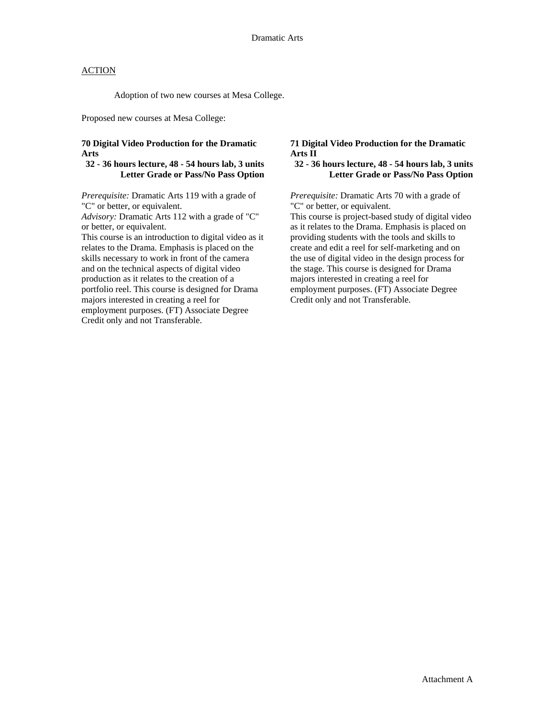Adoption of two new courses at Mesa College.

Proposed new courses at Mesa College:

#### **70 Digital Video Production for the Dramatic Arts**

#### **32 - 36 hours lecture, 48 - 54 hours lab, 3 units Letter Grade or Pass/No Pass Option**

*Prerequisite:* Dramatic Arts 119 with a grade of "C" or better, or equivalent.

*Advisory:* Dramatic Arts 112 with a grade of "C" or better, or equivalent.

This course is an introduction to digital video as it relates to the Drama. Emphasis is placed on the skills necessary to work in front of the camera and on the technical aspects of digital video production as it relates to the creation of a portfolio reel. This course is designed for Drama majors interested in creating a reel for employment purposes. (FT) Associate Degree Credit only and not Transferable.

#### **71 Digital Video Production for the Dramatic Arts II**

#### **32 - 36 hours lecture, 48 - 54 hours lab, 3 units Letter Grade or Pass/No Pass Option**

*Prerequisite:* Dramatic Arts 70 with a grade of "C" or better, or equivalent.

This course is project-based study of digital video as it relates to the Drama. Emphasis is placed on providing students with the tools and skills to create and edit a reel for self-marketing and on the use of digital video in the design process for the stage. This course is designed for Drama majors interested in creating a reel for employment purposes. (FT) Associate Degree Credit only and not Transferable.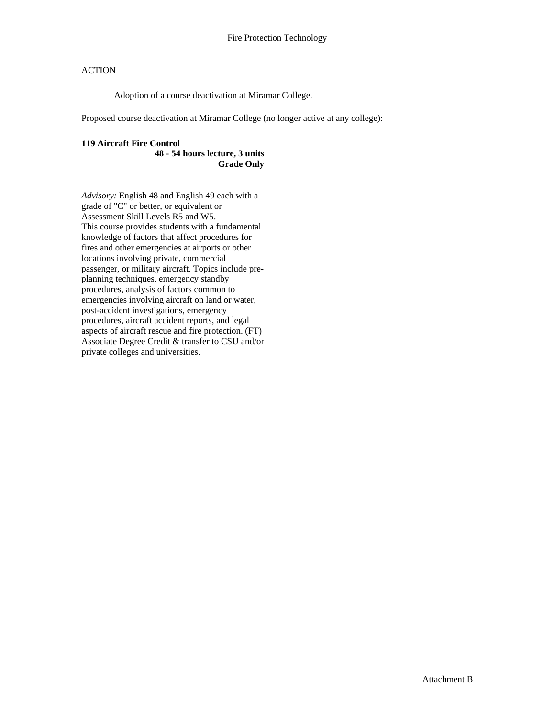Adoption of a course deactivation at Miramar College.

Proposed course deactivation at Miramar College (no longer active at any college):

## **119 Aircraft Fire Control**

**48 - 54 hours lecture, 3 units Grade Only** 

*Advisory:* English 48 and English 49 each with a grade of "C" or better, or equivalent or Assessment Skill Levels R5 and W5. This course provides students with a fundamental knowledge of factors that affect procedures for fires and other emergencies at airports or other locations involving private, commercial passenger, or military aircraft. Topics include preplanning techniques, emergency standby procedures, analysis of factors common to emergencies involving aircraft on land or water, post-accident investigations, emergency procedures, aircraft accident reports, and legal aspects of aircraft rescue and fire protection. (FT) Associate Degree Credit & transfer to CSU and/or private colleges and universities.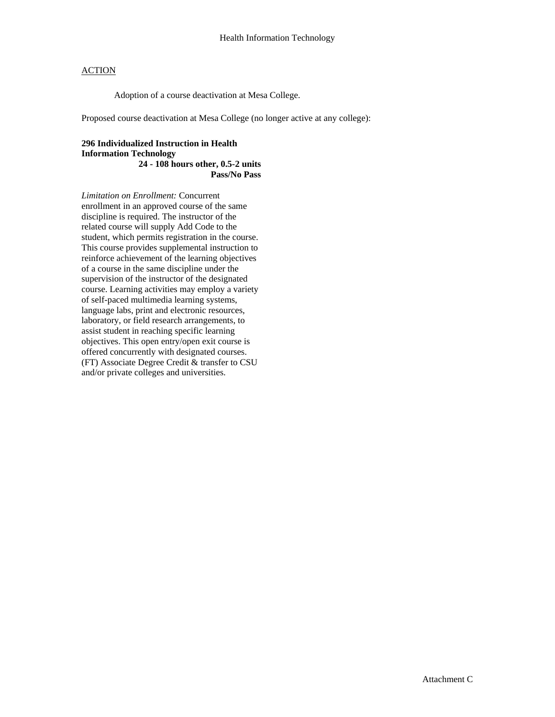Adoption of a course deactivation at Mesa College.

Proposed course deactivation at Mesa College (no longer active at any college):

#### **296 Individualized Instruction in Health Information Technology 24 - 108 hours other, 0.5-2 units Pass/No Pass**

*Limitation on Enrollment:* Concurrent enrollment in an approved course of the same discipline is required. The instructor of the related course will supply Add Code to the student, which permits registration in the course. This course provides supplemental instruction to reinforce achievement of the learning objectives of a course in the same discipline under the supervision of the instructor of the designated course. Learning activities may employ a variety of self-paced multimedia learning systems, language labs, print and electronic resources, laboratory, or field research arrangements, to assist student in reaching specific learning objectives. This open entry/open exit course is offered concurrently with designated courses. (FT) Associate Degree Credit & transfer to CSU and/or private colleges and universities.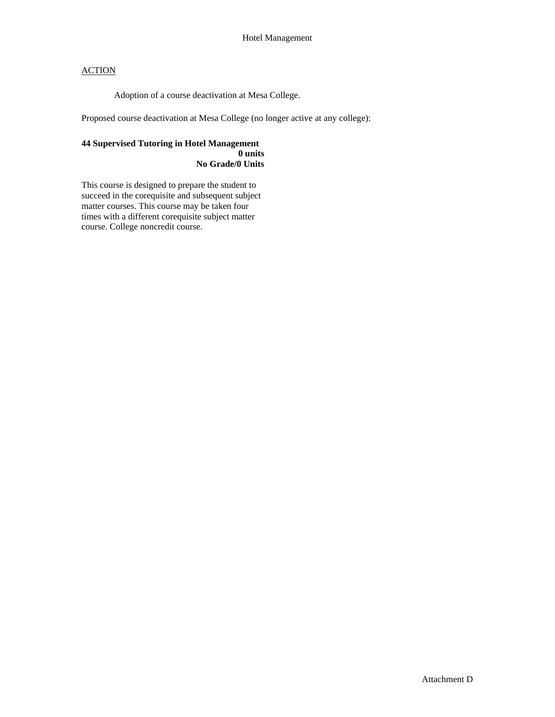Adoption of a course deactivation at Mesa College.

Proposed course deactivation at Mesa College (no longer active at any college):

#### **44 Supervised Tutoring in Hotel Management 0 units No Grade/0 Units**

This course is designed to prepare the student to succeed in the corequisite and subsequent subject matter courses. This course may be taken four times with a different corequisite subject matter course. College noncredit course.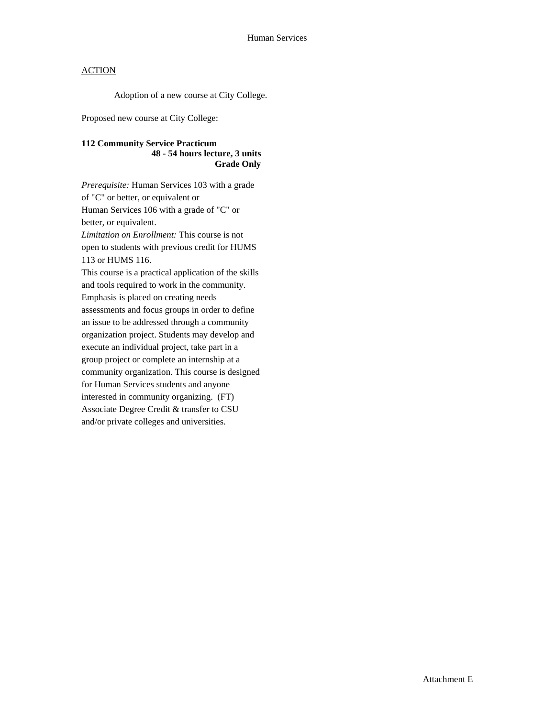Adoption of a new course at City College.

Proposed new course at City College:

### **112 Community Service Practicum 48 - 54 hours lecture, 3 units Grade Only**

*Prerequisite:* Human Services 103 with a grade of "C" or better, or equivalent or Human Services 106 with a grade of "C" or better, or equivalent. *Limitation on Enrollment:* This course is not open to students with previous credit for HUMS 113 or HUMS 116. This course is a practical application of the skills and tools required to work in the community. Emphasis is placed on creating needs assessments and focus groups in order to define an issue to be addressed through a community organization project. Students may develop and execute an individual project, take part in a group project or complete an internship at a community organization. This course is designed for Human Services students and anyone interested in community organizing. (FT) Associate Degree Credit & transfer to CSU and/or private colleges and universities.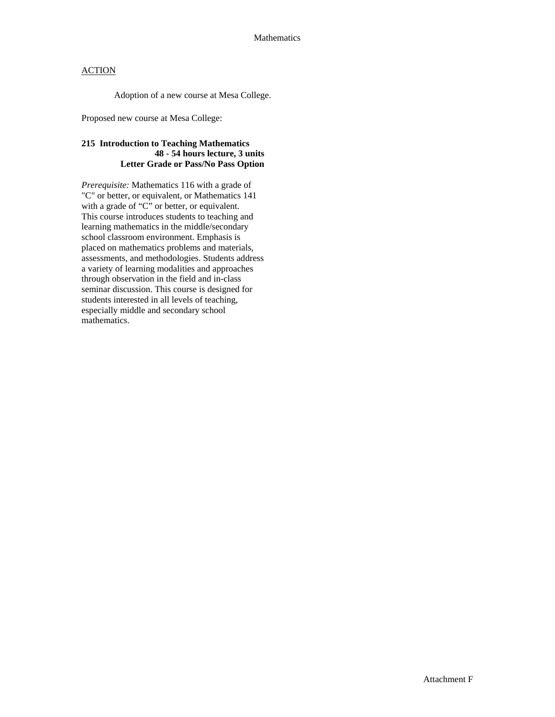Adoption of a new course at Mesa College.

Proposed new course at Mesa College:

### **215 Introduction to Teaching Mathematics 48 - 54 hours lecture, 3 units Letter Grade or Pass/No Pass Option**

*Prerequisite:* Mathematics 116 with a grade of "C" or better, or equivalent, or Mathematics 141 with a grade of "C" or better, or equivalent. This course introduces students to teaching and learning mathematics in the middle/secondary school classroom environment. Emphasis is placed on mathematics problems and materials, assessments, and methodologies. Students address a variety of learning modalities and approaches through observation in the field and in-class seminar discussion. This course is designed for students interested in all levels of teaching, especially middle and secondary school mathematics.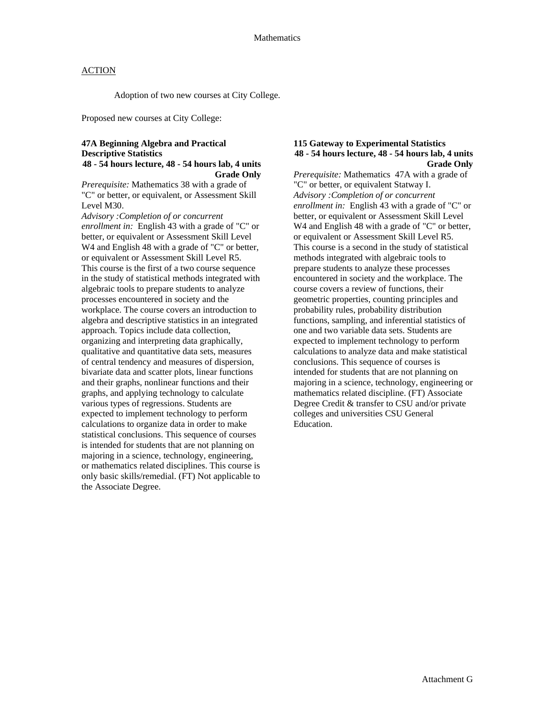Adoption of two new courses at City College.

Proposed new courses at City College:

#### **47A Beginning Algebra and Practical Descriptive Statistics 48 - 54 hours lecture, 48 - 54 hours lab, 4 units Grade Only**

*Prerequisite:* Mathematics 38 with a grade of "C" or better, or equivalent, or Assessment Skill Level M30.

*Advisory :Completion of or concurrent enrollment in:* English 43 with a grade of "C" or better, or equivalent or Assessment Skill Level W<sub>4</sub> and English 48 with a grade of "C" or better, or equivalent or Assessment Skill Level R5. This course is the first of a two course sequence in the study of statistical methods integrated with algebraic tools to prepare students to analyze processes encountered in society and the workplace. The course covers an introduction to algebra and descriptive statistics in an integrated approach. Topics include data collection, organizing and interpreting data graphically, qualitative and quantitative data sets, measures of central tendency and measures of dispersion, bivariate data and scatter plots, linear functions and their graphs, nonlinear functions and their graphs, and applying technology to calculate various types of regressions. Students are expected to implement technology to perform calculations to organize data in order to make statistical conclusions. This sequence of courses is intended for students that are not planning on majoring in a science, technology, engineering, or mathematics related disciplines. This course is only basic skills/remedial. (FT) Not applicable to the Associate Degree.

#### **115 Gateway to Experimental Statistics 48 - 54 hours lecture, 48 - 54 hours lab, 4 units Grade Only**

*Prerequisite:* Mathematics 47A with a grade of "C" or better, or equivalent Statway I. *Advisory :Completion of or concurrent enrollment in:* English 43 with a grade of "C" or better, or equivalent or Assessment Skill Level W<sub>4</sub> and English 48 with a grade of "C" or better, or equivalent or Assessment Skill Level R5. This course is a second in the study of statistical methods integrated with algebraic tools to prepare students to analyze these processes encountered in society and the workplace. The course covers a review of functions, their geometric properties, counting principles and probability rules, probability distribution functions, sampling, and inferential statistics of one and two variable data sets. Students are expected to implement technology to perform calculations to analyze data and make statistical conclusions. This sequence of courses is intended for students that are not planning on majoring in a science, technology, engineering or mathematics related discipline. (FT) Associate Degree Credit & transfer to CSU and/or private colleges and universities CSU General Education.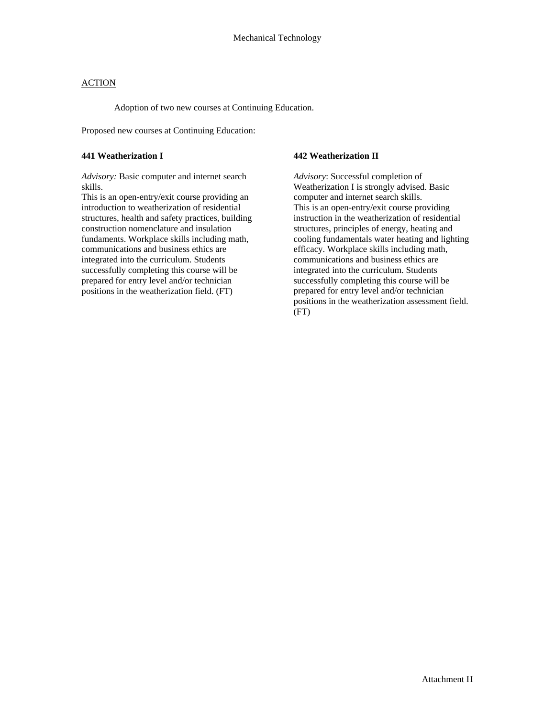Adoption of two new courses at Continuing Education.

Proposed new courses at Continuing Education:

#### **441 Weatherization I**

*Advisory:* Basic computer and internet search skills.

This is an open-entry/exit course providing an introduction to weatherization of residential structures, health and safety practices, building construction nomenclature and insulation fundaments. Workplace skills including math, communications and business ethics are integrated into the curriculum. Students successfully completing this course will be prepared for entry level and/or technician positions in the weatherization field. (FT)

#### **442 Weatherization II**

*Advisory*: Successful completion of Weatherization I is strongly advised. Basic computer and internet search skills. This is an open-entry/exit course providing instruction in the weatherization of residential structures, principles of energy, heating and cooling fundamentals water heating and lighting efficacy. Workplace skills including math, communications and business ethics are integrated into the curriculum. Students successfully completing this course will be prepared for entry level and/or technician positions in the weatherization assessment field. (FT)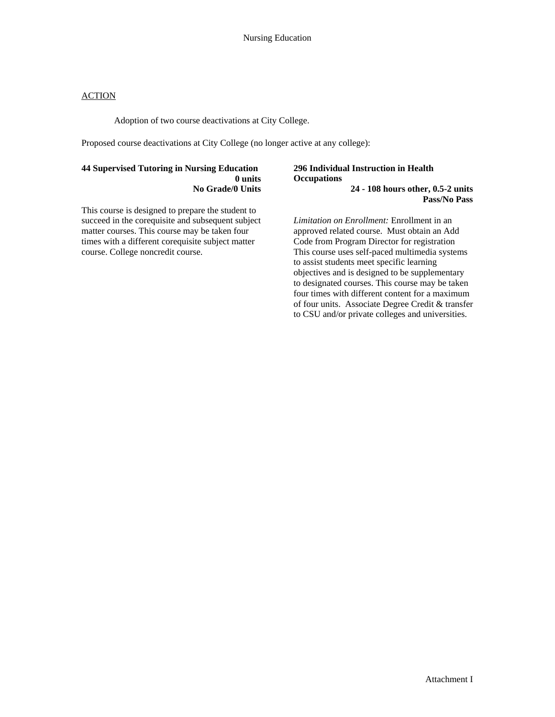Adoption of two course deactivations at City College.

Proposed course deactivations at City College (no longer active at any college):

#### **44 Supervised Tutoring in Nursing Education 0 units No Grade/0 Units**

This course is designed to prepare the student to succeed in the corequisite and subsequent subject matter courses. This course may be taken four times with a different corequisite subject matter course. College noncredit course.

#### **296 Individual Instruction in Health Occupations 24 - 108 hours other, 0.5-2 units Pass/No Pass**

*Limitation on Enrollment:* Enrollment in an approved related course. Must obtain an Add Code from Program Director for registration This course uses self-paced multimedia systems to assist students meet specific learning objectives and is designed to be supplementary to designated courses. This course may be taken four times with different content for a maximum of four units. Associate Degree Credit & transfer to CSU and/or private colleges and universities.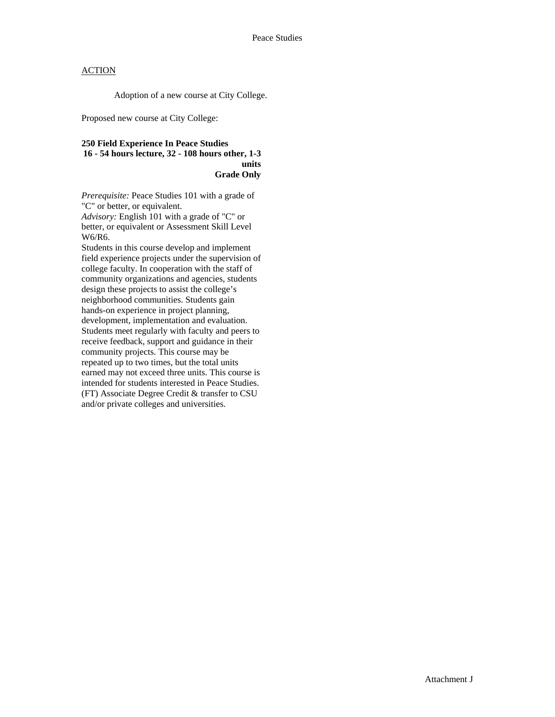Adoption of a new course at City College.

Proposed new course at City College:

#### **250 Field Experience In Peace Studies 16 - 54 hours lecture, 32 - 108 hours other, 1-3 units Grade Only**

*Prerequisite:* Peace Studies 101 with a grade of "C" or better, or equivalent.

*Advisory:* English 101 with a grade of "C" or better, or equivalent or Assessment Skill Level W6/R6.

Students in this course develop and implement field experience projects under the supervision of college faculty. In cooperation with the staff of community organizations and agencies, students design these projects to assist the college's neighborhood communities. Students gain hands-on experience in project planning, development, implementation and evaluation. Students meet regularly with faculty and peers to receive feedback, support and guidance in their community projects. This course may be repeated up to two times, but the total units earned may not exceed three units. This course is intended for students interested in Peace Studies. (FT) Associate Degree Credit & transfer to CSU and/or private colleges and universities.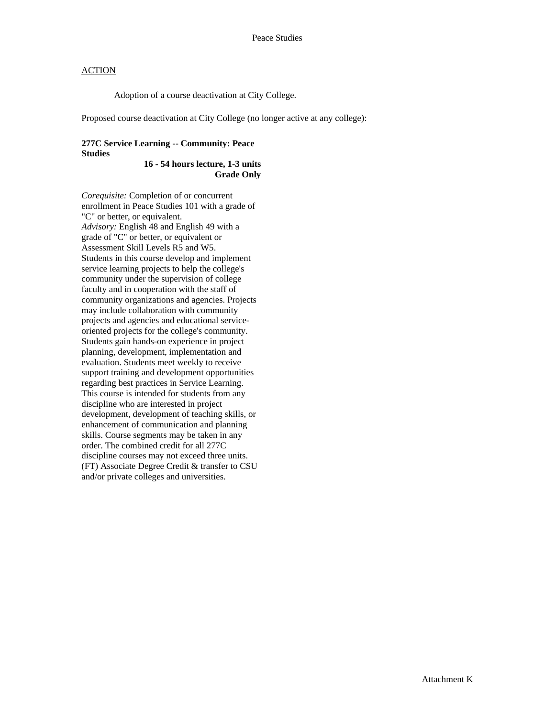Adoption of a course deactivation at City College.

Proposed course deactivation at City College (no longer active at any college):

#### **277C Service Learning -- Community: Peace Studies**

**16 - 54 hours lecture, 1-3 units Grade Only** 

*Corequisite:* Completion of or concurrent enrollment in Peace Studies 101 with a grade of "C" or better, or equivalent. *Advisory:* English 48 and English 49 with a grade of "C" or better, or equivalent or Assessment Skill Levels R5 and W5. Students in this course develop and implement service learning projects to help the college's community under the supervision of college faculty and in cooperation with the staff of community organizations and agencies. Projects may include collaboration with community projects and agencies and educational serviceoriented projects for the college's community. Students gain hands-on experience in project planning, development, implementation and evaluation. Students meet weekly to receive support training and development opportunities regarding best practices in Service Learning. This course is intended for students from any discipline who are interested in project development, development of teaching skills, or enhancement of communication and planning skills. Course segments may be taken in any order. The combined credit for all 277C discipline courses may not exceed three units. (FT) Associate Degree Credit & transfer to CSU and/or private colleges and universities.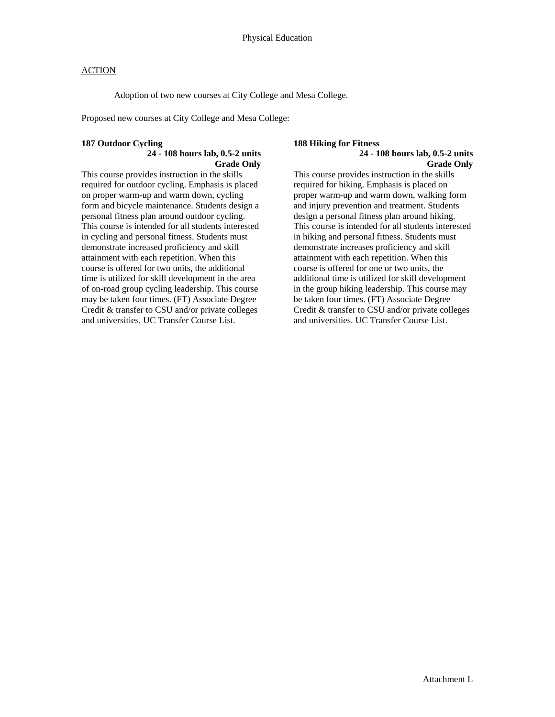Adoption of two new courses at City College and Mesa College.

Proposed new courses at City College and Mesa College:

#### **187 Outdoor Cycling**

#### **24 - 108 hours lab, 0.5-2 units Grade Only**

This course provides instruction in the skills required for outdoor cycling. Emphasis is placed on proper warm-up and warm down, cycling form and bicycle maintenance. Students design a personal fitness plan around outdoor cycling. This course is intended for all students interested in cycling and personal fitness. Students must demonstrate increased proficiency and skill attainment with each repetition. When this course is offered for two units, the additional time is utilized for skill development in the area of on-road group cycling leadership. This course may be taken four times. (FT) Associate Degree Credit & transfer to CSU and/or private colleges and universities. UC Transfer Course List.

# **188 Hiking for Fitness**

#### **24 - 108 hours lab, 0.5-2 units Grade Only**

This course provides instruction in the skills required for hiking. Emphasis is placed on proper warm-up and warm down, walking form and injury prevention and treatment. Students design a personal fitness plan around hiking. This course is intended for all students interested in hiking and personal fitness. Students must demonstrate increases proficiency and skill attainment with each repetition. When this course is offered for one or two units, the additional time is utilized for skill development in the group hiking leadership. This course may be taken four times. (FT) Associate Degree Credit & transfer to CSU and/or private colleges and universities. UC Transfer Course List.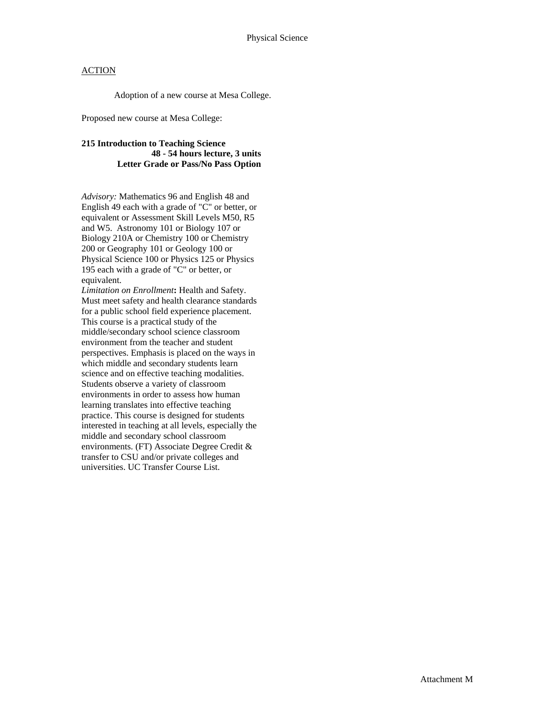Adoption of a new course at Mesa College.

Proposed new course at Mesa College:

### **215 Introduction to Teaching Science 48 - 54 hours lecture, 3 units Letter Grade or Pass/No Pass Option**

*Advisory:* Mathematics 96 and English 48 and English 49 each with a grade of "C" or better, or equivalent or Assessment Skill Levels M50, R5 and W5. Astronomy 101 or Biology 107 or Biology 210A or Chemistry 100 or Chemistry 200 or Geography 101 or Geology 100 or Physical Science 100 or Physics 125 or Physics 195 each with a grade of "C" or better, or equivalent.

*Limitation on Enrollment***:** Health and Safety. Must meet safety and health clearance standards for a public school field experience placement. This course is a practical study of the middle/secondary school science classroom environment from the teacher and student perspectives. Emphasis is placed on the ways in which middle and secondary students learn science and on effective teaching modalities. Students observe a variety of classroom environments in order to assess how human learning translates into effective teaching practice. This course is designed for students interested in teaching at all levels, especially the middle and secondary school classroom environments. (FT) Associate Degree Credit & transfer to CSU and/or private colleges and universities. UC Transfer Course List.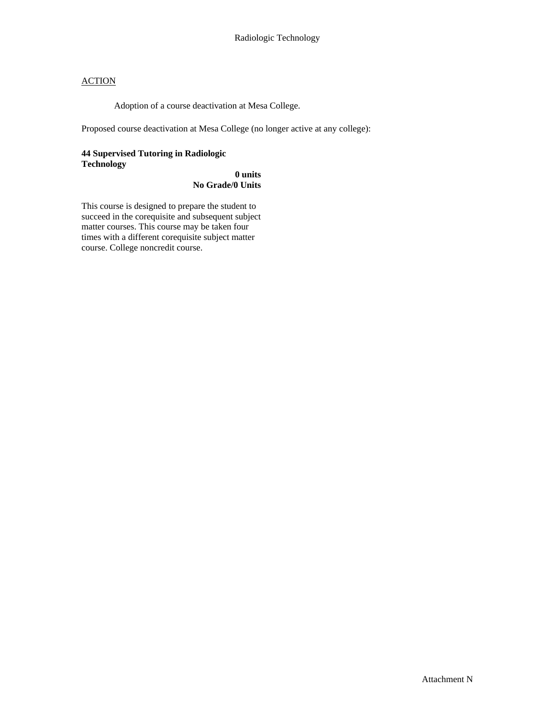Adoption of a course deactivation at Mesa College.

Proposed course deactivation at Mesa College (no longer active at any college):

#### **44 Supervised Tutoring in Radiologic Technology**

### **0 units No Grade/0 Units**

This course is designed to prepare the student to succeed in the corequisite and subsequent subject matter courses. This course may be taken four times with a different corequisite subject matter course. College noncredit course.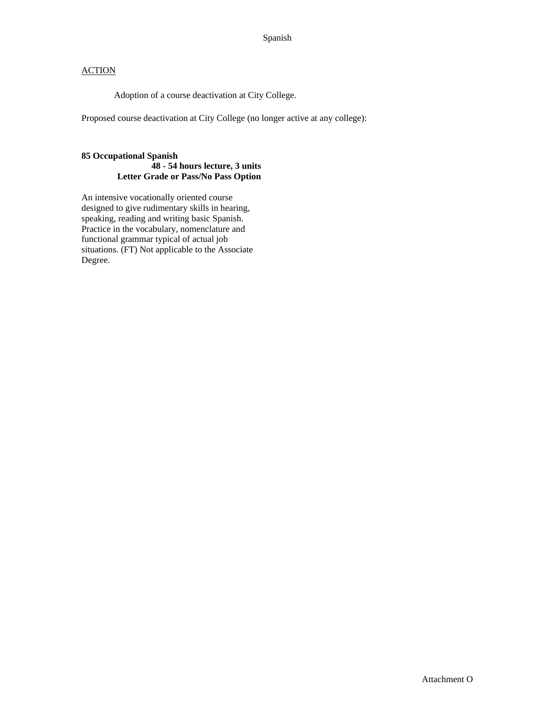Adoption of a course deactivation at City College.

Proposed course deactivation at City College (no longer active at any college):

#### **85 Occupational Spanish 48 - 54 hours lecture, 3 units Letter Grade or Pass/No Pass Option**

An intensive vocationally oriented course designed to give rudimentary skills in hearing, speaking, reading and writing basic Spanish. Practice in the vocabulary, nomenclature and functional grammar typical of actual job situations. (FT) Not applicable to the Associate Degree.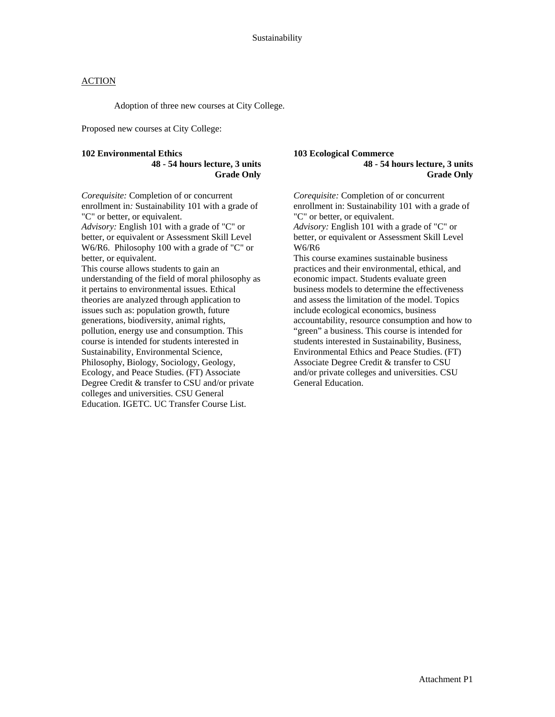Adoption of three new courses at City College.

Proposed new courses at City College:

#### **102 Environmental Ethics 48 - 54 hours lecture, 3 units Grade Only**

*Corequisite:* Completion of or concurrent enrollment in*:* Sustainability 101 with a grade of "C" or better, or equivalent.

*Advisory:* English 101 with a grade of "C" or better, or equivalent or Assessment Skill Level W6/R6. Philosophy 100 with a grade of "C" or better, or equivalent.

This course allows students to gain an understanding of the field of moral philosophy as it pertains to environmental issues. Ethical theories are analyzed through application to issues such as: population growth, future generations, biodiversity, animal rights, pollution, energy use and consumption. This course is intended for students interested in Sustainability, Environmental Science, Philosophy, Biology, Sociology, Geology, Ecology, and Peace Studies. (FT) Associate Degree Credit & transfer to CSU and/or private colleges and universities. CSU General Education. IGETC. UC Transfer Course List.

#### **103 Ecological Commerce 48 - 54 hours lecture, 3 units Grade Only**

*Corequisite:* Completion of or concurrent enrollment in: Sustainability 101 with a grade of "C" or better, or equivalent.

*Advisory:* English 101 with a grade of "C" or better, or equivalent or Assessment Skill Level W6/R6

This course examines sustainable business practices and their environmental, ethical, and economic impact. Students evaluate green business models to determine the effectiveness and assess the limitation of the model. Topics include ecological economics, business accountability, resource consumption and how to "green" a business. This course is intended for students interested in Sustainability, Business, Environmental Ethics and Peace Studies. (FT) Associate Degree Credit & transfer to CSU and/or private colleges and universities. CSU General Education.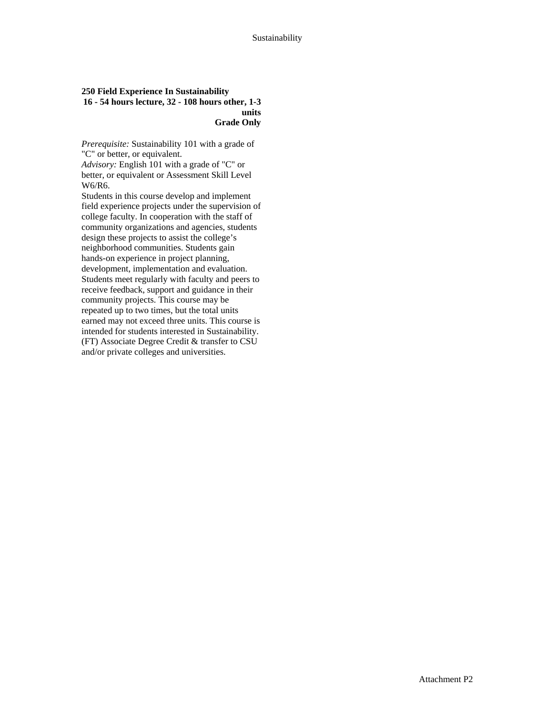#### **250 Field Experience In Sustainability 16 - 54 hours lecture, 32 - 108 hours other, 1-3 units Grade Only**

*Prerequisite:* Sustainability 101 with a grade of "C" or better, or equivalent.

*Advisory:* English 101 with a grade of "C" or better, or equivalent or Assessment Skill Level W6/R6.

Students in this course develop and implement field experience projects under the supervision of college faculty. In cooperation with the staff of community organizations and agencies, students design these projects to assist the college's neighborhood communities. Students gain hands-on experience in project planning, development, implementation and evaluation. Students meet regularly with faculty and peers to receive feedback, support and guidance in their community projects. This course may be repeated up to two times, but the total units earned may not exceed three units. This course is intended for students interested in Sustainability. (FT) Associate Degree Credit & transfer to CSU and/or private colleges and universities.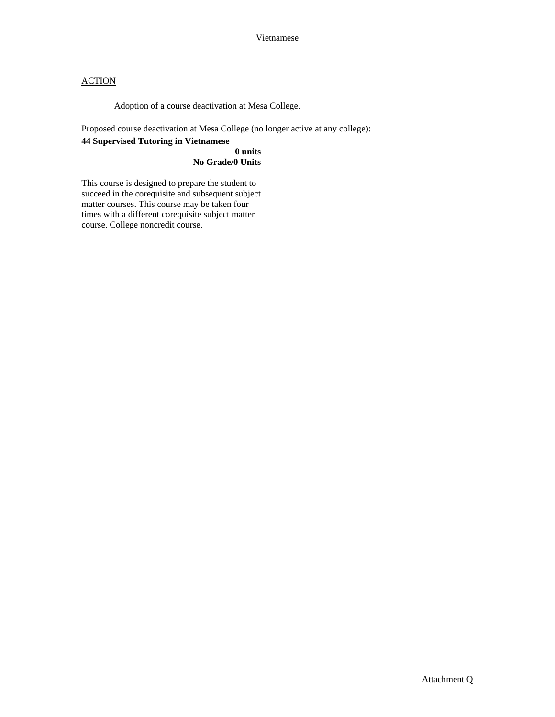Adoption of a course deactivation at Mesa College.

Proposed course deactivation at Mesa College (no longer active at any college):

### **44 Supervised Tutoring in Vietnamese**

#### **0 units No Grade/0 Units**

This course is designed to prepare the student to succeed in the corequisite and subsequent subject matter courses. This course may be taken four times with a different corequisite subject matter course. College noncredit course.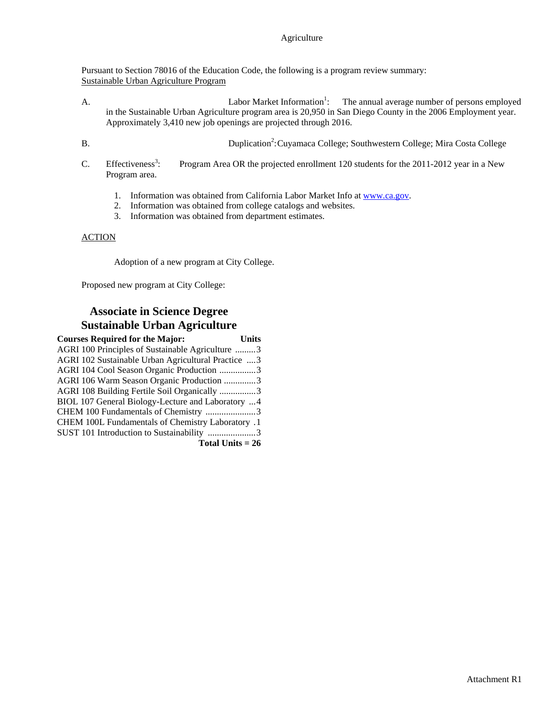Pursuant to Section 78016 of the Education Code, the following is a program review summary: Sustainable Urban Agriculture Program

- $A.$  Labor Market Information<sup>1</sup>: : The annual average number of persons employed in the Sustainable Urban Agriculture program area is 20,950 in San Diego County in the 2006 Employment year. Approximately 3,410 new job openings are projected through 2016.
- 

B. Duplication<sup>2</sup>: Cuyamaca College; Southwestern College; Mira Costa College

- $C.$  Effectiveness<sup>3</sup>: : Program Area OR the projected enrollment 120 students for the 2011-2012 year in a New Program area.
	- 1. Information was obtained from California Labor Market Info at www.ca.gov.
	- 2. Information was obtained from college catalogs and websites.
	- 3. Information was obtained from department estimates.

#### ACTION

Adoption of a new program at City College.

Proposed new program at City College:

## **Associate in Science Degree Sustainable Urban Agriculture**

| <b>Courses Required for the Major:</b>              | Units |
|-----------------------------------------------------|-------|
| AGRI 100 Principles of Sustainable Agriculture 3    |       |
| AGRI 102 Sustainable Urban Agricultural Practice  3 |       |
| AGRI 104 Cool Season Organic Production 3           |       |
| AGRI 106 Warm Season Organic Production 3           |       |
| AGRI 108 Building Fertile Soil Organically 3        |       |
| BIOL 107 General Biology-Lecture and Laboratory  4  |       |
| CHEM 100 Fundamentals of Chemistry 3                |       |
| CHEM 100L Fundamentals of Chemistry Laboratory .1   |       |
| SUST 101 Introduction to Sustainability 3           |       |
| Total Units $= 26$                                  |       |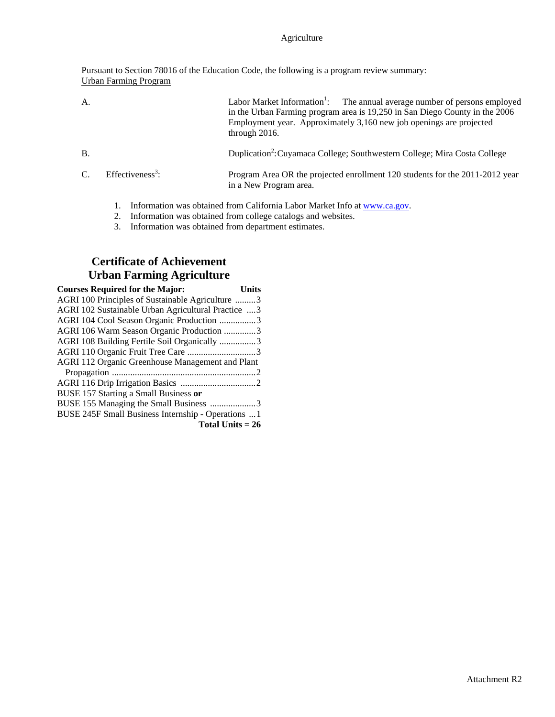Pursuant to Section 78016 of the Education Code, the following is a program review summary: Urban Farming Program

| A.              |                              | Labor Market Information <sup>1</sup> :<br>The annual average number of persons employed<br>in the Urban Farming program area is 19,250 in San Diego County in the 2006<br>Employment year. Approximately 3,160 new job openings are projected<br>through $2016$ . |
|-----------------|------------------------------|--------------------------------------------------------------------------------------------------------------------------------------------------------------------------------------------------------------------------------------------------------------------|
| <b>B</b> .      |                              | Duplication <sup>2</sup> : Cuyamaca College; Southwestern College; Mira Costa College                                                                                                                                                                              |
| $\mathcal{C}$ . | Effectiveness <sup>3</sup> : | Program Area OR the projected enrollment 120 students for the 2011-2012 year<br>in a New Program area.                                                                                                                                                             |
|                 |                              |                                                                                                                                                                                                                                                                    |

- 1. Information was obtained from California Labor Market Info at www.ca.gov.
- 2. Information was obtained from college catalogs and websites.
- 3. Information was obtained from department estimates.

## **Certificate of Achievement Urban Farming Agriculture**

| <b>Courses Required for the Major:</b>              | Units |
|-----------------------------------------------------|-------|
| AGRI 100 Principles of Sustainable Agriculture 3    |       |
| AGRI 102 Sustainable Urban Agricultural Practice  3 |       |
| AGRI 104 Cool Season Organic Production 3           |       |
| AGRI 106 Warm Season Organic Production 3           |       |
| AGRI 108 Building Fertile Soil Organically 3        |       |
|                                                     |       |
| AGRI 112 Organic Greenhouse Management and Plant    |       |
|                                                     |       |
|                                                     |       |
| BUSE 157 Starting a Small Business or               |       |
| BUSE 155 Managing the Small Business 3              |       |
| BUSE 245F Small Business Internship - Operations  1 |       |
| Total Units $= 26$                                  |       |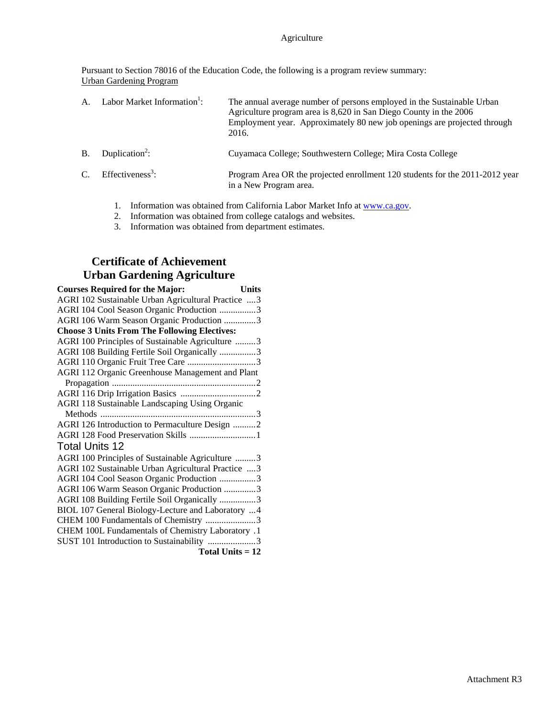Pursuant to Section 78016 of the Education Code, the following is a program review summary: Urban Gardening Program

| A.          | Labor Market Information <sup>1</sup> : | The annual average number of persons employed in the Sustainable Urban<br>Agriculture program area is 8,620 in San Diego County in the 2006<br>Employment year. Approximately 80 new job openings are projected through<br>2016. |
|-------------|-----------------------------------------|----------------------------------------------------------------------------------------------------------------------------------------------------------------------------------------------------------------------------------|
| B.          | Duplication <sup>2</sup> :              | Cuyamaca College; Southwestern College; Mira Costa College                                                                                                                                                                       |
| $C_{\cdot}$ | Effectiveness <sup>3</sup> :            | Program Area OR the projected enrollment 120 students for the 2011-2012 year<br>in a New Program area.                                                                                                                           |

- 1. Information was obtained from California Labor Market Info at www.ca.gov.
- 2. Information was obtained from college catalogs and websites.
- 3. Information was obtained from department estimates.

## **Certificate of Achievement Urban Gardening Agriculture**

| <b>Courses Required for the Major:</b><br><b>Units</b> |
|--------------------------------------------------------|
| AGRI 102 Sustainable Urban Agricultural Practice  3    |
| AGRI 104 Cool Season Organic Production 3              |
| AGRI 106 Warm Season Organic Production 3              |
| <b>Choose 3 Units From The Following Electives:</b>    |
| AGRI 100 Principles of Sustainable Agriculture 3       |
| AGRI 108 Building Fertile Soil Organically 3           |
|                                                        |
| AGRI 112 Organic Greenhouse Management and Plant       |
|                                                        |
|                                                        |
| <b>AGRI 118 Sustainable Landscaping Using Organic</b>  |
|                                                        |
| AGRI 126 Introduction to Permaculture Design 2         |
| AGRI 128 Food Preservation Skills  1                   |
| <b>Total Units 12</b>                                  |
| AGRI 100 Principles of Sustainable Agriculture 3       |
| AGRI 102 Sustainable Urban Agricultural Practice 3     |
| AGRI 104 Cool Season Organic Production 3              |
| AGRI 106 Warm Season Organic Production 3              |
| AGRI 108 Building Fertile Soil Organically 3           |
| BIOL 107 General Biology-Lecture and Laboratory 4      |
| CHEM 100 Fundamentals of Chemistry 3                   |
| CHEM 100L Fundamentals of Chemistry Laboratory .1      |
| SUST 101 Introduction to Sustainability 3              |
| Total Units $= 12$                                     |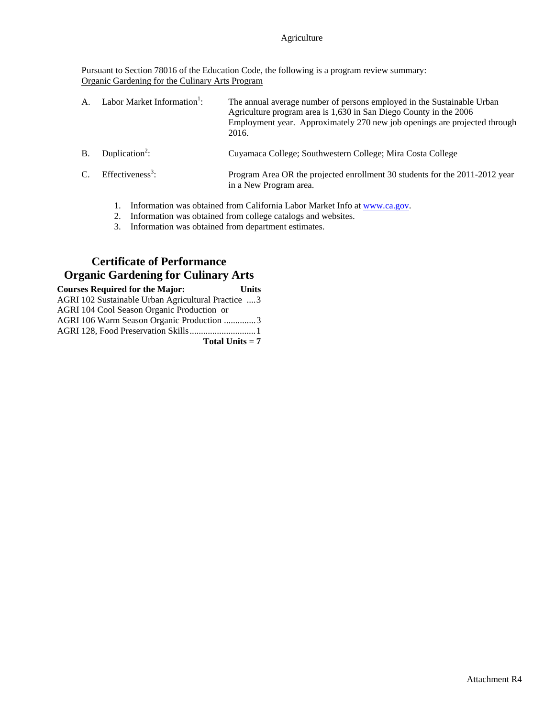Pursuant to Section 78016 of the Education Code, the following is a program review summary: Organic Gardening for the Culinary Arts Program

| $A_{\cdot}$ | Labor Market Information <sup>1</sup> : | The annual average number of persons employed in the Sustainable Urban<br>Agriculture program area is 1,630 in San Diego County in the 2006<br>Employment year. Approximately 270 new job openings are projected through<br>2016. |
|-------------|-----------------------------------------|-----------------------------------------------------------------------------------------------------------------------------------------------------------------------------------------------------------------------------------|
| <b>B.</b>   | Duplication <sup>2</sup> :              | Cuyamaca College; Southwestern College; Mira Costa College                                                                                                                                                                        |
| $C_{\cdot}$ | $Effectiveness3$ :                      | Program Area OR the projected enrollment 30 students for the 2011-2012 year<br>in a New Program area.                                                                                                                             |

- 1. Information was obtained from California Labor Market Info at www.ca.gov.
- 2. Information was obtained from college catalogs and websites.
- 3. Information was obtained from department estimates.

## **Certificate of Performance Organic Gardening for Culinary Arts**

| <b>Courses Required for the Major:</b>              | <b>Units</b> |
|-----------------------------------------------------|--------------|
| AGRI 102 Sustainable Urban Agricultural Practice  3 |              |
| AGRI 104 Cool Season Organic Production or          |              |
| AGRI 106 Warm Season Organic Production 3           |              |
|                                                     |              |
| Total Units $= 7$                                   |              |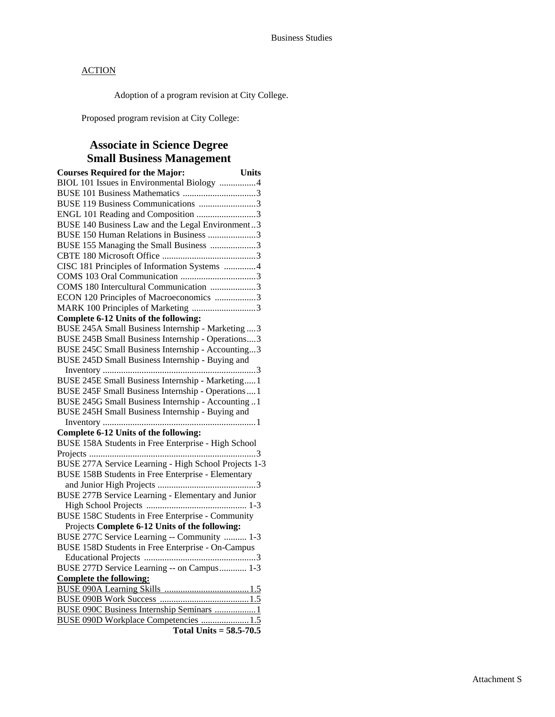Adoption of a program revision at City College.

Proposed program revision at City College:

## **Associate in Science Degree Small Business Management**

| <b>Courses Required for the Major:</b>                                                       | <b>Units</b> |
|----------------------------------------------------------------------------------------------|--------------|
| BIOL 101 Issues in Environmental Biology 4                                                   |              |
|                                                                                              |              |
| BUSE 119 Business Communications 3                                                           |              |
| ENGL 101 Reading and Composition 3                                                           |              |
| BUSE 140 Business Law and the Legal Environment3                                             |              |
| BUSE 150 Human Relations in Business 3                                                       |              |
| BUSE 155 Managing the Small Business 3                                                       |              |
|                                                                                              |              |
| CISC 181 Principles of Information Systems 4                                                 |              |
|                                                                                              |              |
| COMS 180 Intercultural Communication 3                                                       |              |
| ECON 120 Principles of Macroeconomics 3                                                      |              |
| MARK 100 Principles of Marketing 3                                                           |              |
| Complete 6-12 Units of the following:                                                        |              |
| BUSE 245A Small Business Internship - Marketing  3                                           |              |
| BUSE 245B Small Business Internship - Operations3                                            |              |
| BUSE 245C Small Business Internship - Accounting3                                            |              |
| BUSE 245D Small Business Internship - Buying and                                             |              |
|                                                                                              |              |
| BUSE 245E Small Business Internship - Marketing1                                             |              |
| BUSE 245F Small Business Internship - Operations  1                                          |              |
| BUSE 245G Small Business Internship - Accounting 1                                           |              |
| BUSE 245H Small Business Internship - Buying and                                             |              |
| 1                                                                                            |              |
| Complete 6-12 Units of the following:<br>BUSE 158A Students in Free Enterprise - High School |              |
|                                                                                              |              |
| BUSE 277A Service Learning - High School Projects 1-3                                        |              |
| <b>BUSE 158B Students in Free Enterprise - Elementary</b>                                    |              |
|                                                                                              |              |
| <b>BUSE 277B Service Learning - Elementary and Junior</b>                                    |              |
|                                                                                              |              |
| <b>BUSE 158C Students in Free Enterprise - Community</b>                                     |              |
| Projects Complete 6-12 Units of the following:                                               |              |
| BUSE 277C Service Learning -- Community  1-3                                                 |              |
| BUSE 158D Students in Free Enterprise - On-Campus                                            |              |
|                                                                                              |              |
| BUSE 277D Service Learning -- on Campus 1-3                                                  |              |
| <b>Complete the following:</b>                                                               |              |
|                                                                                              |              |
|                                                                                              |              |
| BUSE 090C Business Internship Seminars                                                       | 1            |
| BUSE 090D Workplace Competencies 1.5                                                         |              |
| Total Units = $58.5 - 70.5$                                                                  |              |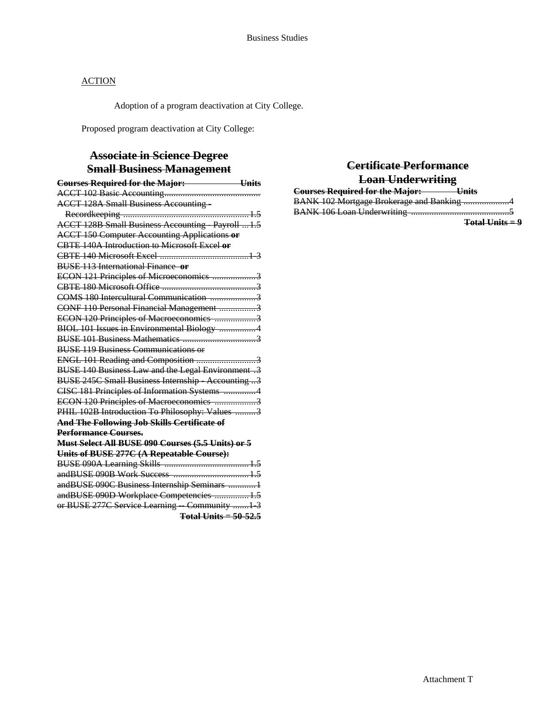Adoption of a program deactivation at City College.

Proposed program deactivation at City College:

## **Associate in Science Degree Small Business Management**

| <b>Courses Required for the Major:</b> Units             |
|----------------------------------------------------------|
|                                                          |
| <b>ACCT 128A Small Business Accounting-</b>              |
|                                                          |
| <b>ACCT 128B Small Business Accounting Payroll 1.5</b>   |
| <b>ACCT 150 Computer Accounting Applications or</b>      |
| <b>CBTE 140A Introduction to Microsoft Excel or</b>      |
|                                                          |
| <b>BUSE 113 International Finance or</b>                 |
| ECON 121 Principles of Microeconomics 3                  |
|                                                          |
| COMS 180 Intercultural Communication 3                   |
| CONF 110 Personal Financial Management 3                 |
| ECON 120 Principles of Macroeconomics 3                  |
| BIOL 101 Issues in Environmental Biology 4               |
|                                                          |
| <b>BUSE 119 Business Communications or</b>               |
| ENGL 101 Reading and Composition 3                       |
| <b>BUSE 140 Business Law and the Legal Environment.3</b> |
| <b>BUSE 245C Small Business Internship Accounting 3</b>  |
| CISC 181 Principles of Information Systems 4             |
| ECON 120 Principles of Macroeconomics 3                  |
| PHIL 102B Introduction To Philosophy: Values 3           |
| And The Following Job Skills Certificate of              |
| <b>Performance Courses.</b>                              |
| Must Select All BUSE 090 Courses (5.5 Units) or 5        |
| Units of BUSE 277C (A Repeatable Course):                |
|                                                          |
|                                                          |
| andBUSE 090C Business Internship Seminars  1             |
| andBUSE 090D Workplace Competencies  1.5                 |
| or BUSE 277C Service Learning Community 1 3              |
| Total Units $=$ 50-52.5                                  |

| Certificate Performance                           |
|---------------------------------------------------|
| <b>Loan Underwriting</b>                          |
| <b>Courses Required for the Major:</b><br>— Units |
| BANK 102 Mortgage Brokerage and Banking 4         |
|                                                   |
| Total Units $= 9$                                 |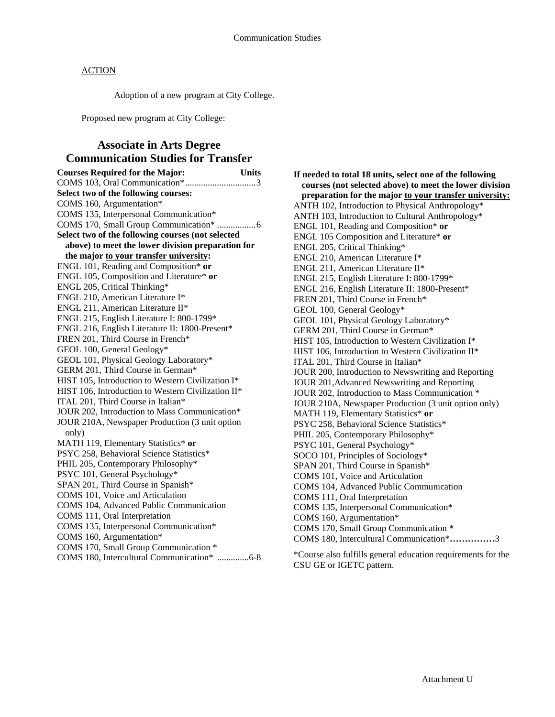Adoption of a new program at City College.

Proposed new program at City College:

## **Associate in Arts Degree Communication Studies for Transfer**

| <b>Courses Required for the Major:</b>             | <b>Units</b> |
|----------------------------------------------------|--------------|
|                                                    |              |
| Select two of the following courses:               |              |
| COMS 160, Argumentation*                           |              |
| COMS 135, Interpersonal Communication*             |              |
|                                                    |              |
| Select two of the following courses (not selected  |              |
| above) to meet the lower division preparation for  |              |
| the major to your transfer university:             |              |
| ENGL 101, Reading and Composition* or              |              |
| ENGL 105, Composition and Literature* or           |              |
| ENGL 205, Critical Thinking*                       |              |
| ENGL 210, American Literature I*                   |              |
| ENGL 211, American Literature II*                  |              |
| ENGL 215, English Literature I: 800-1799*          |              |
| ENGL 216, English Literature II: 1800-Present*     |              |
| FREN 201, Third Course in French*                  |              |
| GEOL 100, General Geology*                         |              |
| GEOL 101, Physical Geology Laboratory*             |              |
| GERM 201, Third Course in German*                  |              |
| HIST 105, Introduction to Western Civilization I*  |              |
| HIST 106, Introduction to Western Civilization II* |              |
| ITAL 201, Third Course in Italian*                 |              |
| JOUR 202, Introduction to Mass Communication*      |              |
| JOUR 210A, Newspaper Production (3 unit option     |              |
| only)                                              |              |
| MATH 119, Elementary Statistics* or                |              |
| PSYC 258, Behavioral Science Statistics*           |              |
| PHIL 205, Contemporary Philosophy*                 |              |
| PSYC 101, General Psychology*                      |              |
| SPAN 201, Third Course in Spanish*                 |              |
| COMS 101, Voice and Articulation                   |              |
| COMS 104, Advanced Public Communication            |              |
| COMS 111, Oral Interpretation                      |              |
| COMS 135, Interpersonal Communication*             |              |
| COMS 160, Argumentation*                           |              |
| COMS 170, Small Group Communication *              |              |
| COMS 180, Intercultural Communication* 6-8         |              |

**If needed to total 18 units, select one of the following courses (not selected above) to meet the lower division preparation for the major to your transfer university:** ANTH 102, Introduction to Physical Anthropology\* ANTH 103, Introduction to Cultural Anthropology\* ENGL 101, Reading and Composition\* **or** ENGL 105 Composition and Literature\* **or** ENGL 205, Critical Thinking\* ENGL 210, American Literature I\* ENGL 211, American Literature II\* ENGL 215, English Literature I: 800-1799\* ENGL 216, English Literature II: 1800-Present\* FREN 201, Third Course in French\* GEOL 100, General Geology\* GEOL 101, Physical Geology Laboratory\* GERM 201, Third Course in German\* HIST 105, Introduction to Western Civilization I\* HIST 106, Introduction to Western Civilization II\* ITAL 201, Third Course in Italian\* JOUR 200, Introduction to Newswriting and Reporting JOUR 201,Advanced Newswriting and Reporting JOUR 202, Introduction to Mass Communication \* JOUR 210A, Newspaper Production (3 unit option only) MATH 119, Elementary Statistics\* **or** PSYC 258, Behavioral Science Statistics\* PHIL 205, Contemporary Philosophy\* PSYC 101, General Psychology\* SOCO 101, Principles of Sociology\* SPAN 201, Third Course in Spanish\* COMS 101, Voice and Articulation COMS 104, Advanced Public Communication COMS 111, Oral Interpretation COMS 135, Interpersonal Communication\* COMS 160, Argumentation\* COMS 170, Small Group Communication \* COMS 180, Intercultural Communication\***……………**3

\*Course also fulfills general education requirements for the CSU GE or IGETC pattern.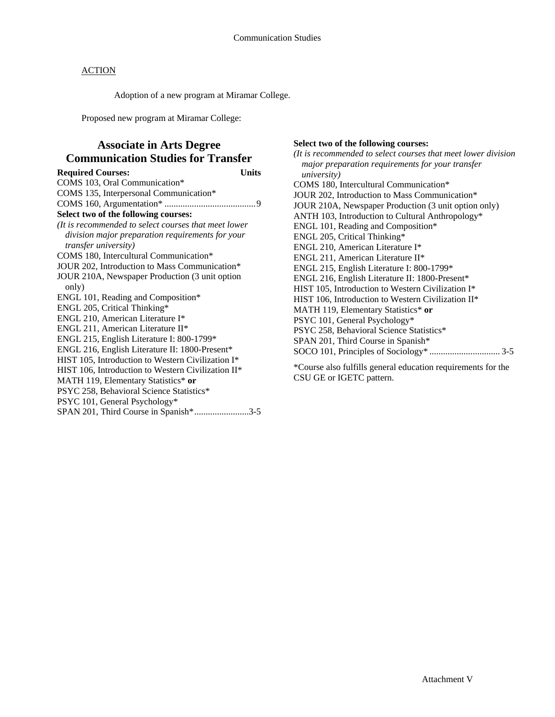Adoption of a new program at Miramar College.

Proposed new program at Miramar College:

## **Associate in Arts Degree Communication Studies for Transfer**

**Required Courses: Units**  COMS 103, Oral Communication\* COMS 135, Interpersonal Communication\* COMS 160, Argumentation\* ........................................ 9 **Select two of the following courses:**  *(It is recommended to select courses that meet lower division major preparation requirements for your transfer university)*  COMS 180, Intercultural Communication\* JOUR 202, Introduction to Mass Communication\* JOUR 210A, Newspaper Production (3 unit option only) ENGL 101, Reading and Composition\* ENGL 205, Critical Thinking\* ENGL 210, American Literature I\* ENGL 211, American Literature II\* ENGL 215, English Literature I: 800-1799\* ENGL 216, English Literature II: 1800-Present\* HIST 105, Introduction to Western Civilization I\* HIST 106, Introduction to Western Civilization II\* MATH 119, Elementary Statistics\* **or** PSYC 258, Behavioral Science Statistics\* PSYC 101, General Psychology\* SPAN 201, Third Course in Spanish\* ........................3-5

#### **Select two of the following courses:**

*(It is recommended to select courses that meet lower division major preparation requirements for your transfer university)*  COMS 180, Intercultural Communication\* JOUR 202, Introduction to Mass Communication\* JOUR 210A, Newspaper Production (3 unit option only) ANTH 103, Introduction to Cultural Anthropology\* ENGL 101, Reading and Composition\* ENGL 205, Critical Thinking\* ENGL 210, American Literature I\* ENGL 211, American Literature II\* ENGL 215, English Literature I: 800-1799\* ENGL 216, English Literature II: 1800-Present\* HIST 105, Introduction to Western Civilization I\* HIST 106, Introduction to Western Civilization II\* MATH 119, Elementary Statistics\* **or** PSYC 101, General Psychology\* PSYC 258, Behavioral Science Statistics\* SPAN 201, Third Course in Spanish\* SOCO 101, Principles of Sociology\* ............................... 3-5

\*Course also fulfills general education requirements for the CSU GE or IGETC pattern.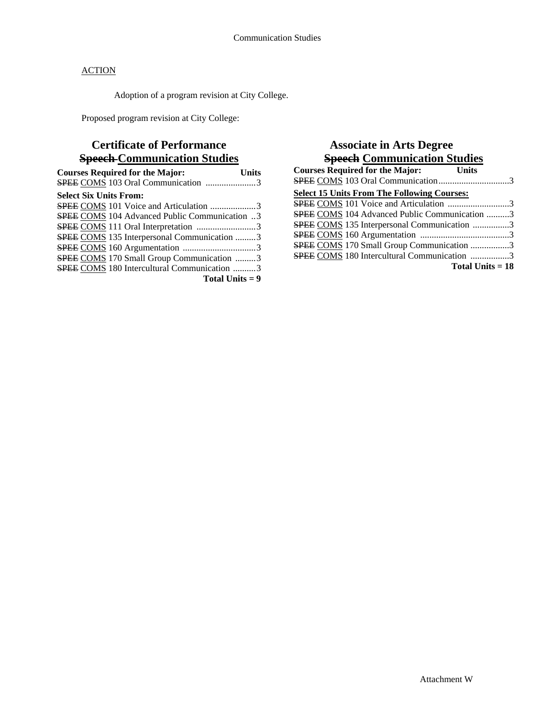Adoption of a program revision at City College.

Proposed program revision at City College:

# **Certificate of Performance Speech Communication Studies**

| <b>Courses Required for the Major:</b>             | Units |
|----------------------------------------------------|-------|
|                                                    |       |
| <b>Select Six Units From:</b>                      |       |
| SPEE COMS 101 Voice and Articulation 3             |       |
| SPEE COMS 104 Advanced Public Communication 3      |       |
|                                                    |       |
| <b>SPEE COMS</b> 135 Interpersonal Communication 3 |       |
|                                                    |       |
| SPEE COMS 170 Small Group Communication 3          |       |
| <b>SPEE COMS</b> 180 Intercultural Communication 3 |       |
| Total Units $= 9$                                  |       |

## **Associate in Arts Degree Speech Communication Studies**

| <b>Courses Required for the Major:</b><br><b>Units</b> |  |
|--------------------------------------------------------|--|
| SPEE COMS 103 Oral Communication3                      |  |
| <b>Select 15 Units From The Following Courses:</b>     |  |
| <b>SPEE COMS</b> 101 Voice and Articulation 3          |  |
| <b>SPEE COMS</b> 104 Advanced Public Communication 3   |  |
| SPEE COMS 135 Interpersonal Communication 3            |  |
|                                                        |  |
| <b>SPEE COMS</b> 170 Small Group Communication 3       |  |
| <b>SPEE COMS</b> 180 Intercultural Communication 3     |  |
| Total Units $= 18$                                     |  |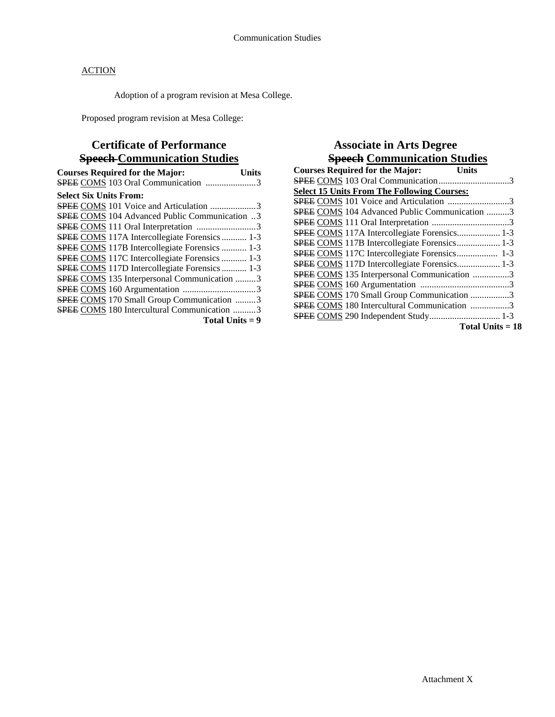Adoption of a program revision at Mesa College.

Proposed program revision at Mesa College:

## **Certificate of Performance Speech Communication Studies**

| <b>Courses Required for the Major:</b><br>Units      |
|------------------------------------------------------|
|                                                      |
| <b>Select Six Units From:</b>                        |
| <b>SPEE COMS</b> 101 Voice and Articulation 3        |
| SPEE COMS 104 Advanced Public Communication 3        |
| SPEE COMS 111 Oral Interpretation 3                  |
| SPEE COMS 117A Intercollegiate Forensics 1-3         |
| <b>SPEE COMS 117B Intercollegiate Forensics  1-3</b> |
| <b>SPEE COMS</b> 117C Intercollegiate Forensics  1-3 |
| <b>SPEE COMS</b> 117D Intercollegiate Forensics  1-3 |
| <b>SPEE COMS</b> 135 Interpersonal Communication 3   |
|                                                      |
| <b>SPEE COMS</b> 170 Small Group Communication 3     |
| <b>SPEE COMS</b> 180 Intercultural Communication 3   |
| Total Units $= 9$                                    |

## **Associate in Arts Degree Speech Communication Studies**

| <b>Courses Required for the Major:</b><br><b>Units</b> |                    |
|--------------------------------------------------------|--------------------|
| SPEE COMS 103 Oral Communication3                      |                    |
| <b>Select 15 Units From The Following Courses:</b>     |                    |
| SPEE COMS 101 Voice and Articulation 3                 |                    |
| SPEE COMS 104 Advanced Public Communication 3          |                    |
|                                                        |                    |
| SPEE COMS 117A Intercollegiate Forensics 1-3           |                    |
| <b>SPEE COMS 117B Intercollegiate Forensics 1-3</b>    |                    |
| <b>SPEE COMS 117C Intercollegiate Forensics 1-3</b>    |                    |
| SPEE COMS 117D Intercollegiate Forensics 1-3           |                    |
| SPEE COMS 135 Interpersonal Communication 3            |                    |
|                                                        |                    |
| SPEE COMS 170 Small Group Communication 3              |                    |
| <b>SPEE COMS 180 Intercultural Communication 3</b>     |                    |
|                                                        |                    |
|                                                        | Total Units $= 18$ |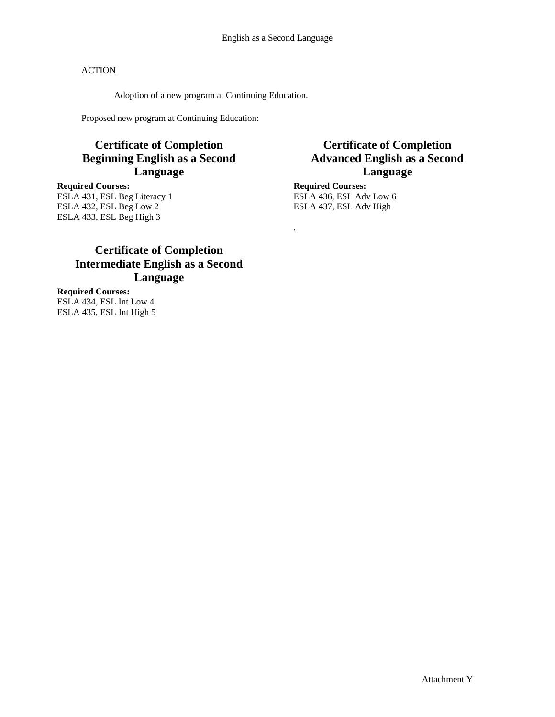.

### **ACTION**

Adoption of a new program at Continuing Education.

Proposed new program at Continuing Education:

## **Certificate of Completion Beginning English as a Second Language**

**Required Courses:**  ESLA 431, ESL Beg Literacy 1 ESLA 432, ESL Beg Low 2 ESLA 433, ESL Beg High 3

## **Certificate of Completion Advanced English as a Second Language**

**Required Courses:**  ESLA 436, ESL Adv Low 6 ESLA 437, ESL Adv High

## **Certificate of Completion Intermediate English as a Second Language**

**Required Courses:**  ESLA 434, ESL Int Low 4 ESLA 435, ESL Int High 5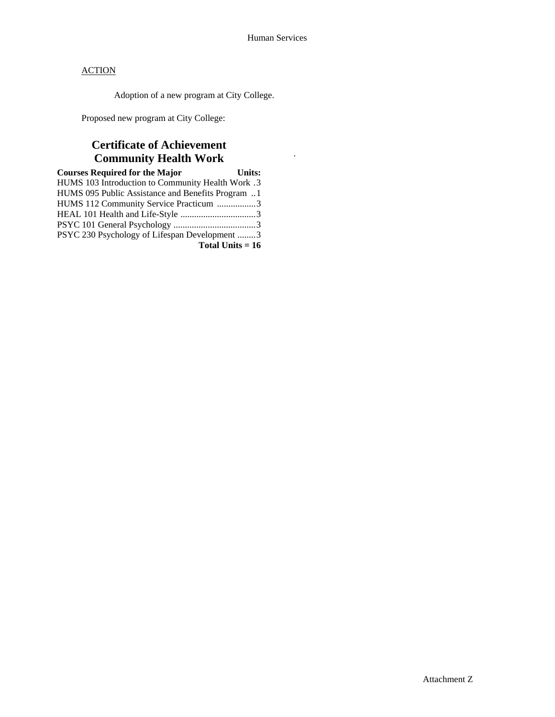.

**ACTION** 

Adoption of a new program at City College.

Proposed new program at City College:

## **Certificate of Achievement Community Health Work**

| <b>Courses Required for the Major</b>             | <b>Units:</b> |
|---------------------------------------------------|---------------|
| HUMS 103 Introduction to Community Health Work .3 |               |
| HUMS 095 Public Assistance and Benefits Program 1 |               |
| HUMS 112 Community Service Practicum 3            |               |
|                                                   |               |
|                                                   |               |
| PSYC 230 Psychology of Lifespan Development 3     |               |
| Total Units $= 16$                                |               |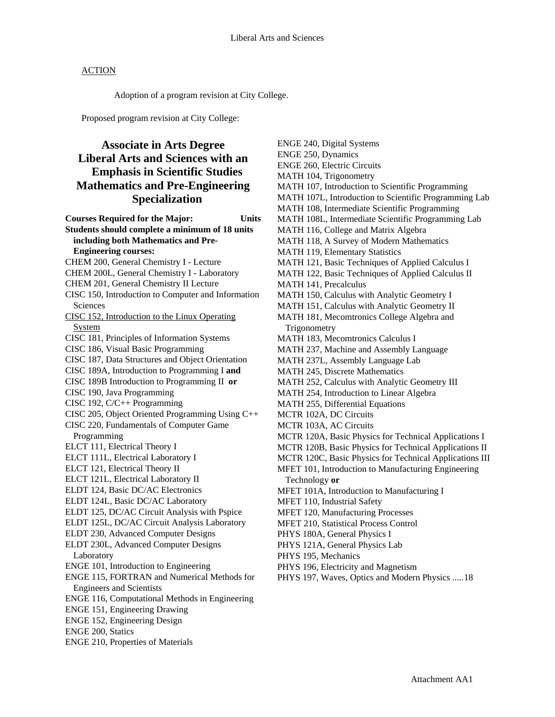Adoption of a program revision at City College.

Proposed program revision at City College:

## **Associate in Arts Degree Liberal Arts and Sciences with an Emphasis in Scientific Studies Mathematics and Pre-Engineering Specialization**

**Courses Required for the Major: Units Students should complete a minimum of 18 units including both Mathematics and Pre-Engineering courses:**  CHEM 200, General Chemistry I - Lecture CHEM 200L, General Chemistry I - Laboratory CHEM 201, General Chemistry II Lecture CISC 150, Introduction to Computer and Information **Sciences** CISC 152, Introduction to the Linux Operating System CISC 181, Principles of Information Systems CISC 186, Visual Basic Programming CISC 187, Data Structures and Object Orientation CISC 189A, Introduction to Programming I **and** CISC 189B Introduction to Programming II **or** CISC 190, Java Programming CISC 192, C/C++ Programming CISC 205, Object Oriented Programming Using C++ CISC 220, Fundamentals of Computer Game Programming ELCT 111, Electrical Theory I ELCT 111L, Electrical Laboratory I ELCT 121, Electrical Theory II ELCT 121L, Electrical Laboratory II ELDT 124, Basic DC/AC Electronics ELDT 124L, Basic DC/AC Laboratory ELDT 125, DC/AC Circuit Analysis with Pspice ELDT 125L, DC/AC Circuit Analysis Laboratory ELDT 230, Advanced Computer Designs ELDT 230L, Advanced Computer Designs Laboratory ENGE 101, Introduction to Engineering ENGE 115, FORTRAN and Numerical Methods for Engineers and Scientists ENGE 116, Computational Methods in Engineering ENGE 151, Engineering Drawing ENGE 152, Engineering Design ENGE 200, Statics ENGE 210, Properties of Materials

ENGE 240, Digital Systems ENGE 250, Dynamics ENGE 260, Electric Circuits MATH 104, Trigonometry MATH 107, Introduction to Scientific Programming MATH 107L, Introduction to Scientific Programming Lab MATH 108, Intermediate Scientific Programming MATH 108L, Intermediate Scientific Programming Lab MATH 116, College and Matrix Algebra MATH 118, A Survey of Modern Mathematics MATH 119, Elementary Statistics MATH 121, Basic Techniques of Applied Calculus I MATH 122, Basic Techniques of Applied Calculus II MATH 141, Precalculus MATH 150, Calculus with Analytic Geometry I MATH 151, Calculus with Analytic Geometry II MATH 181, Mecomtronics College Algebra and **Trigonometry** MATH 183, Mecomtronics Calculus I MATH 237, Machine and Assembly Language MATH 237L, Assembly Language Lab MATH 245, Discrete Mathematics MATH 252, Calculus with Analytic Geometry III MATH 254, Introduction to Linear Algebra MATH 255, Differential Equations MCTR 102A, DC Circuits MCTR 103A, AC Circuits MCTR 120A, Basic Physics for Technical Applications I MCTR 120B, Basic Physics for Technical Applications II MCTR 120C, Basic Physics for Technical Applications III MFET 101, Introduction to Manufacturing Engineering Technology **or**  MFET 101A, Introduction to Manufacturing I MFET 110, Industrial Safety MFET 120, Manufacturing Processes MFET 210, Statistical Process Control PHYS 180A, General Physics I PHYS 121A, General Physics Lab PHYS 195, Mechanics PHYS 196, Electricity and Magnetism PHYS 197, Waves, Optics and Modern Physics ..... 18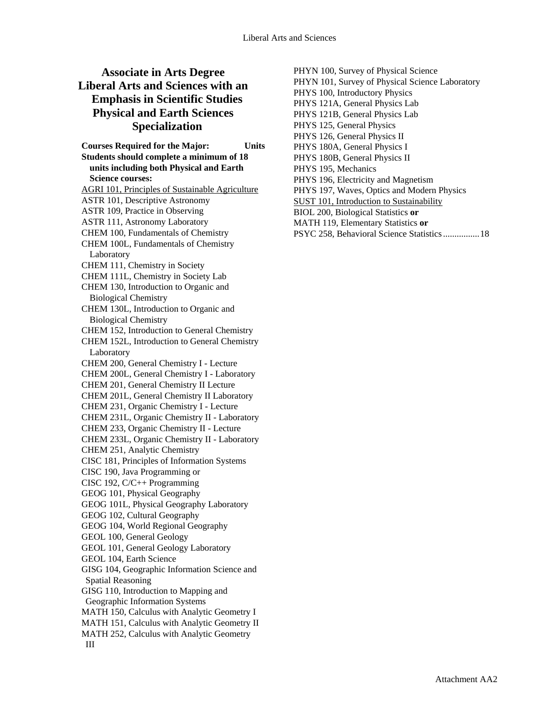## **Associate in Arts Degree Liberal Arts and Sciences with an Emphasis in Scientific Studies Physical and Earth Sciences Specialization**

**Courses Required for the Major: Units Students should complete a minimum of 18 units including both Physical and Earth Science courses:**  AGRI 101, Principles of Sustainable Agriculture ASTR 101, Descriptive Astronomy ASTR 109, Practice in Observing ASTR 111, Astronomy Laboratory CHEM 100, Fundamentals of Chemistry CHEM 100L, Fundamentals of Chemistry Laboratory CHEM 111, Chemistry in Society CHEM 111L, Chemistry in Society Lab CHEM 130, Introduction to Organic and Biological Chemistry CHEM 130L, Introduction to Organic and Biological Chemistry CHEM 152, Introduction to General Chemistry CHEM 152L, Introduction to General Chemistry Laboratory CHEM 200, General Chemistry I - Lecture CHEM 200L, General Chemistry I - Laboratory CHEM 201, General Chemistry II Lecture CHEM 201L, General Chemistry II Laboratory CHEM 231, Organic Chemistry I - Lecture CHEM 231L, Organic Chemistry II - Laboratory CHEM 233, Organic Chemistry II - Lecture CHEM 233L, Organic Chemistry II - Laboratory CHEM 251, Analytic Chemistry CISC 181, Principles of Information Systems CISC 190, Java Programming or CISC 192, C/C++ Programming GEOG 101, Physical Geography GEOG 101L, Physical Geography Laboratory GEOG 102, Cultural Geography GEOG 104, World Regional Geography GEOL 100, General Geology GEOL 101, General Geology Laboratory GEOL 104, Earth Science GISG 104, Geographic Information Science and Spatial Reasoning GISG 110, Introduction to Mapping and Geographic Information Systems MATH 150, Calculus with Analytic Geometry I MATH 151, Calculus with Analytic Geometry II MATH 252, Calculus with Analytic Geometry III

PHYN 100, Survey of Physical Science PHYN 101, Survey of Physical Science Laboratory PHYS 100, Introductory Physics PHYS 121A, General Physics Lab PHYS 121B, General Physics Lab PHYS 125, General Physics PHYS 126, General Physics II PHYS 180A, General Physics I PHYS 180B, General Physics II PHYS 195, Mechanics PHYS 196, Electricity and Magnetism PHYS 197, Waves, Optics and Modern Physics SUST 101, Introduction to Sustainability BIOL 200, Biological Statistics **or**  MATH 119, Elementary Statistics **or**  PSYC 258, Behavioral Science Statistics ................ 18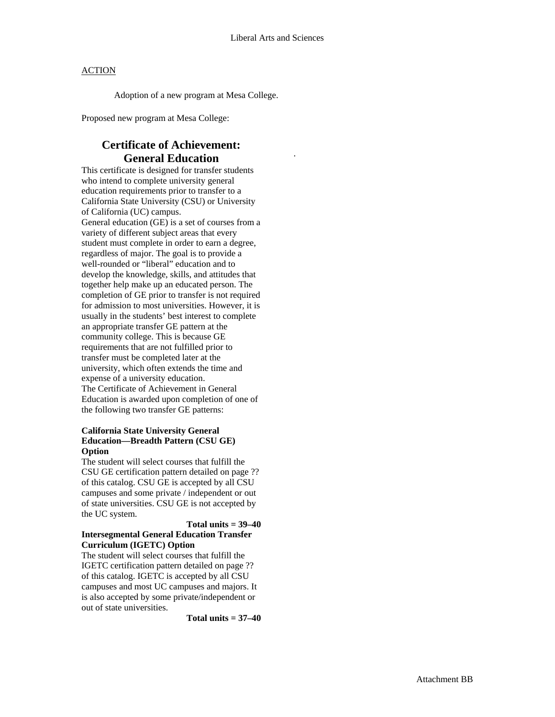.

#### **ACTION**

Adoption of a new program at Mesa College.

Proposed new program at Mesa College:

## **Certificate of Achievement: General Education**

This certificate is designed for transfer students who intend to complete university general education requirements prior to transfer to a California State University (CSU) or University of California (UC) campus. General education (GE) is a set of courses from a variety of different subject areas that every student must complete in order to earn a degree, regardless of major. The goal is to provide a well-rounded or "liberal" education and to develop the knowledge, skills, and attitudes that together help make up an educated person. The completion of GE prior to transfer is not required for admission to most universities. However, it is usually in the students' best interest to complete an appropriate transfer GE pattern at the community college. This is because GE requirements that are not fulfilled prior to transfer must be completed later at the university, which often extends the time and expense of a university education. The Certificate of Achievement in General Education is awarded upon completion of one of the following two transfer GE patterns:

#### **California State University General Education—Breadth Pattern (CSU GE) Option**

The student will select courses that fulfill the CSU GE certification pattern detailed on page ?? of this catalog. CSU GE is accepted by all CSU campuses and some private / independent or out of state universities. CSU GE is not accepted by the UC system.

#### **Total units = 39–40 Intersegmental General Education Transfer Curriculum (IGETC) Option**

The student will select courses that fulfill the IGETC certification pattern detailed on page ?? of this catalog. IGETC is accepted by all CSU campuses and most UC campuses and majors. It is also accepted by some private/independent or out of state universities.

**Total units = 37–40**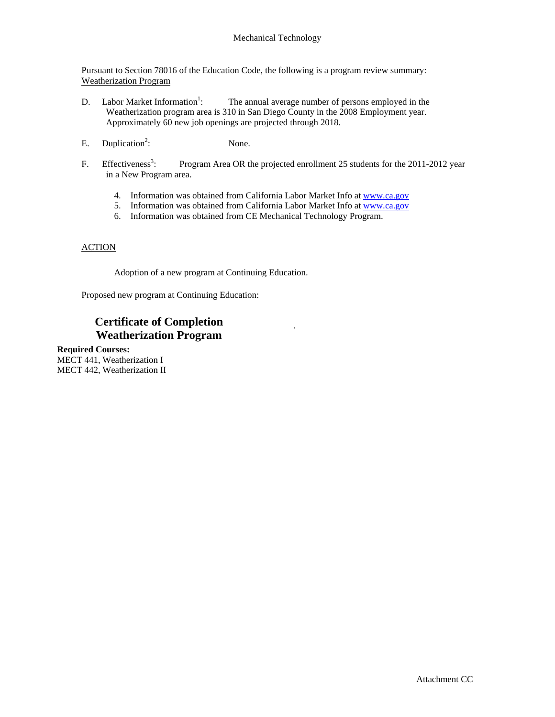Pursuant to Section 78016 of the Education Code, the following is a program review summary: Weatherization Program

- D. Labor Market Information<sup>1</sup>: The annual average number of persons employed in the Weatherization program area is 310 in San Diego County in the 2008 Employment year. Approximately 60 new job openings are projected through 2018.
- E. Duplication<sup>2</sup>: None.
- F. Effectiveness<sup>3</sup>: Program Area OR the projected enrollment 25 students for the 2011-2012 year in a New Program area.

.

- 4. Information was obtained from California Labor Market Info at www.ca.gov
- 5. Information was obtained from California Labor Market Info at www.ca.gov
- 6. Information was obtained from CE Mechanical Technology Program.

#### **ACTION**

Adoption of a new program at Continuing Education.

Proposed new program at Continuing Education:

## **Certificate of Completion Weatherization Program**

**Required Courses:**  MECT 441, Weatherization I MECT 442, Weatherization II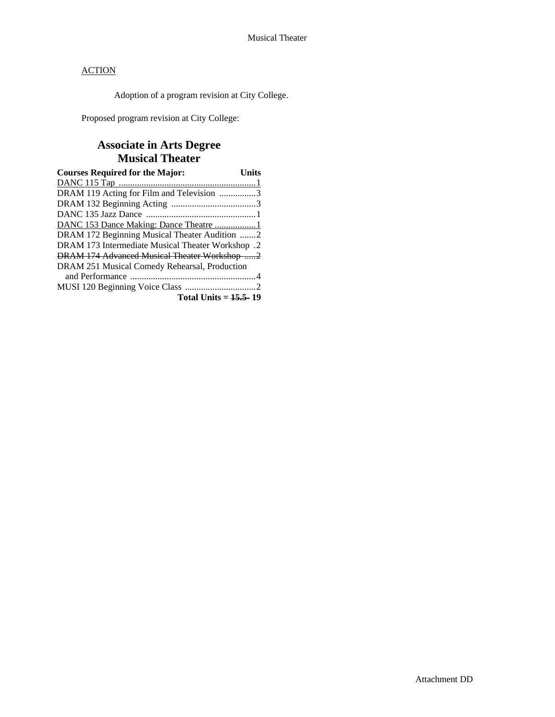Adoption of a program revision at City College.

Proposed program revision at City College:

## **Associate in Arts Degree Musical Theater**

| <b>Courses Required for the Major:</b>            | Units |
|---------------------------------------------------|-------|
|                                                   |       |
| DRAM 119 Acting for Film and Television 3         |       |
|                                                   |       |
|                                                   |       |
|                                                   |       |
| DRAM 172 Beginning Musical Theater Audition 2     |       |
| DRAM 173 Intermediate Musical Theater Workshop .2 |       |
| DRAM 174 Advanced Musical Theater Workshop 2      |       |
| DRAM 251 Musical Comedy Rehearsal, Production     |       |
|                                                   |       |
|                                                   |       |
| Total Units = $15.5 - 19$                         |       |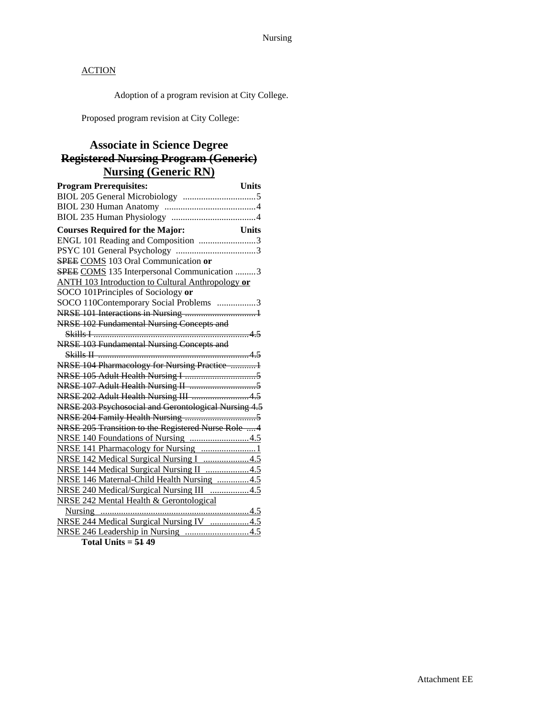Adoption of a program revision at City College.

Proposed program revision at City College:

## **Associate in Science Degree Registered Nursing Program (Generic) Nursing (Generic RN)**

| <b>Program Prerequisites:</b><br><b>Units</b>            |
|----------------------------------------------------------|
|                                                          |
|                                                          |
|                                                          |
| <b>Courses Required for the Major:</b><br><b>Units</b>   |
| ENGL 101 Reading and Composition 3                       |
|                                                          |
| SPEE COMS 103 Oral Communication or                      |
| SPEE COMS 135 Interpersonal Communication 3              |
| <b>ANTH 103 Introduction to Cultural Anthropology or</b> |
| SOCO 101Principles of Sociology or                       |
| SOCO 110Contemporary Social Problems 3                   |
|                                                          |
| NRSE 102 Fundamental Nursing Concepts and                |
|                                                          |
| NRSE 103 Fundamental Nursing Concepts and                |
|                                                          |
| NRSE 104 Pharmacology for Nursing Practice 1             |
|                                                          |
|                                                          |
| NRSE 202 Adult Health Nursing III  4.5                   |
| NRSE 203 Psychosocial and Gerontological Nursing 4.5     |
|                                                          |
| NRSE 205 Transition to the Registered Nurse Role  4      |
|                                                          |
| NRSE 141 Pharmacology for Nursing 1                      |
| NRSE 142 Medical Surgical Nursing I 4.5                  |
| NRSE 144 Medical Surgical Nursing II 4.5                 |
| NRSE 146 Maternal-Child Health Nursing 4.5               |
| NRSE 240 Medical/Surgical Nursing III 4.5                |
| <b>NRSE 242 Mental Health &amp; Gerontological</b>       |
|                                                          |
| NRSE 244 Medical Surgical Nursing IV 4.5                 |
|                                                          |

**Total Units = 51 49**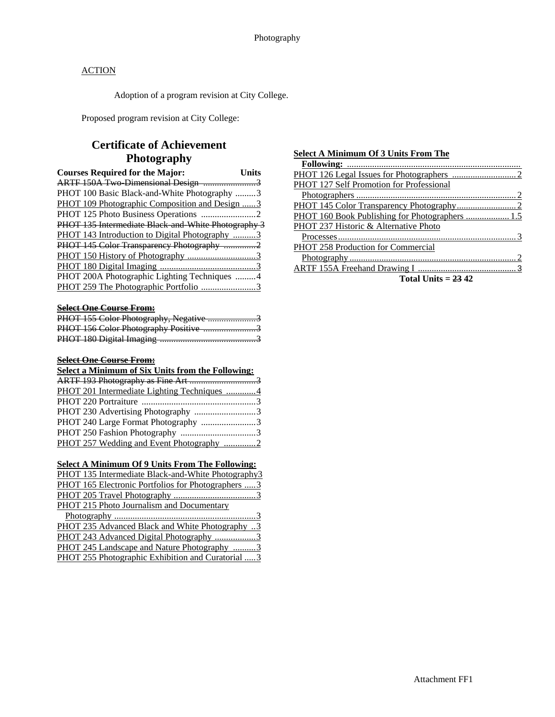Adoption of a program revision at City College.

Proposed program revision at City College:

## **Certificate of Achievement Photography**

| <b>Courses Required for the Major:</b>              | Units |
|-----------------------------------------------------|-------|
| ARTF 150A Two-Dimensional Design 3                  |       |
| PHOT 100 Basic Black-and-White Photography 3        |       |
| PHOT 109 Photographic Composition and Design 3      |       |
|                                                     |       |
| PHOT 135 Intermediate Black and White Photography 3 |       |
| PHOT 143 Introduction to Digital Photography 3      |       |
| PHOT 145 Color Transparency Photography 2           |       |
|                                                     |       |
|                                                     |       |
| PHOT 200A Photographic Lighting Techniques  4       |       |
| PHOT 259 The Photographic Portfolio 3               |       |

#### **Select One Course From:**

| PHOT 155 Color Photography, Negative 3 |  |
|----------------------------------------|--|
| PHOT 156 Color Photography Positive 3  |  |
|                                        |  |

#### **Select One Course From:**

#### **Select a Minimum of Six Units from the Following:**

| PHOT 201 Intermediate Lighting Techniques 4 |  |
|---------------------------------------------|--|
|                                             |  |
| PHOT 230 Advertising Photography 3          |  |
| PHOT 240 Large Format Photography 3         |  |
|                                             |  |
| PHOT 257 Wedding and Event Photography 2    |  |

#### **Select A Minimum Of 9 Units From The Following:**

| PHOT 135 Intermediate Black-and-White Photography3         |
|------------------------------------------------------------|
| <b>PHOT</b> 165 Electronic Portfolios for Photographers  3 |
|                                                            |
| PHOT 215 Photo Journalism and Documentary                  |
|                                                            |
| <b>PHOT 235 Advanced Black and White Photography 3</b>     |

| PHOT 243 Advanced Digital Photography 3           |  |
|---------------------------------------------------|--|
| PHOT 245 Landscape and Nature Photography 3       |  |
| PHOT 255 Photographic Exhibition and Curatorial 3 |  |

#### **Select A Minimum Of 3 Units From The**

| <b>PHOT 127 Self Promotion for Professional</b>                                                        |
|--------------------------------------------------------------------------------------------------------|
|                                                                                                        |
|                                                                                                        |
|                                                                                                        |
| PHOT 237 Historic & Alternative Photo                                                                  |
|                                                                                                        |
| <b>PHOT 258 Production for Commercial</b>                                                              |
|                                                                                                        |
|                                                                                                        |
| $\mathbf{r}$ . $\mathbf{r}$ . $\mathbf{r}$ . $\mathbf{r}$ . $\mathbf{r}$ . $\mathbf{r}$ . $\mathbf{r}$ |

**Total Units = 23 42**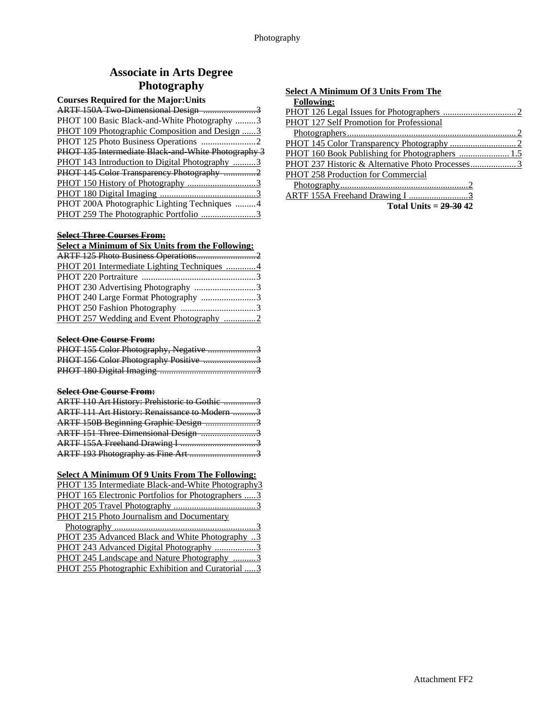# **Associate in Arts Degree Photography**

### **Courses Required for the Major:Units**

| PHOT 100 Basic Black-and-White Photography 3          |  |
|-------------------------------------------------------|--|
| <b>PHOT 109 Photographic Composition and Design 3</b> |  |
|                                                       |  |
| PHOT 135 Intermediate Black and White Photography 3   |  |
| PHOT 143 Introduction to Digital Photography 3        |  |
| PHOT 145 Color Transparency Photography 2             |  |
|                                                       |  |
|                                                       |  |
| PHOT 200A Photographic Lighting Techniques 4          |  |
|                                                       |  |

#### **Select Three Courses From:**

| Select a Minimum of Six Units from the Following: |  |
|---------------------------------------------------|--|
|                                                   |  |
| PHOT 201 Intermediate Lighting Techniques 4       |  |
|                                                   |  |
| PHOT 230 Advertising Photography 3                |  |
| PHOT 240 Large Format Photography 3               |  |
|                                                   |  |
|                                                   |  |

### **Select One Course From:**

| PHOT 155 Color Photography, Negative 3 |  |
|----------------------------------------|--|
| PHOT 156 Color Photography Positive 3  |  |
|                                        |  |

### **Select One Course From:**

| ARTF 110 Art History: Prehistoric to Gothic 3 |  |
|-----------------------------------------------|--|
| ARTF 111 Art History: Renaissance to Modern 3 |  |
| ARTF 150B Beginning Graphic Design 3          |  |
| ARTF 151 Three Dimensional Design 3           |  |
|                                               |  |
|                                               |  |

### **Select A Minimum Of 9 Units From The Following:**

| PHOT 135 Intermediate Black-and-White Photography3     |
|--------------------------------------------------------|
| PHOT 165 Electronic Portfolios for Photographers 3     |
|                                                        |
| PHOT 215 Photo Journalism and Documentary              |
|                                                        |
| <b>PHOT 235 Advanced Black and White Photography</b> 3 |
| PHOT 243 Advanced Digital Photography 3                |
| PHOT 245 Landscape and Nature Photography 3            |
| PHOT 255 Photographic Exhibition and Curatorial  3     |
|                                                        |

| <b>Select A Minimum Of 3 Units From The</b> |
|---------------------------------------------|
| <b>Following:</b>                           |
|                                             |
| PHOT 127 Self Promotion for Professional    |
|                                             |
|                                             |
|                                             |
|                                             |
| <b>PHOT 258 Production for Commercial</b>   |
|                                             |
| ARTF 155A Freehand Drawing I 3              |

**Total Units = 29-30 42**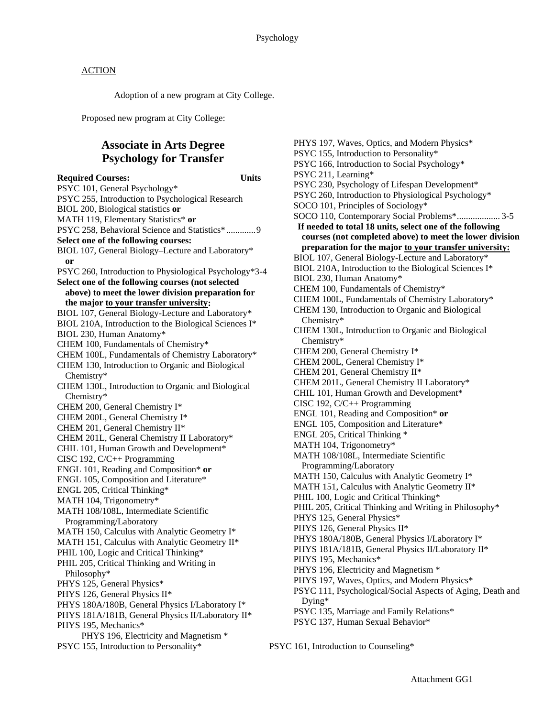Adoption of a new program at City College.

Proposed new program at City College:

## **Associate in Arts Degree Psychology for Transfer**

**Required Courses: Units**  PSYC 101, General Psychology\* PSYC 255, Introduction to Psychological Research BIOL 200, Biological statistics **or** MATH 119, Elementary Statistics\* **or** PSYC 258, Behavioral Science and Statistics\* ............. 9 **Select one of the following courses:** BIOL 107, General Biology–Lecture and Laboratory\* **or** PSYC 260, Introduction to Physiological Psychology\*3-4 **Select one of the following courses (not selected above) to meet the lower division preparation for the major to your transfer university:** BIOL 107, General Biology-Lecture and Laboratory\* BIOL 210A, Introduction to the Biological Sciences I\* BIOL 230, Human Anatomy\* CHEM 100, Fundamentals of Chemistry\* CHEM 100L, Fundamentals of Chemistry Laboratory\* CHEM 130, Introduction to Organic and Biological Chemistry\* CHEM 130L, Introduction to Organic and Biological Chemistry\* CHEM 200, General Chemistry I\* CHEM 200L, General Chemistry I\* CHEM 201, General Chemistry II\* CHEM 201L, General Chemistry II Laboratory\* CHIL 101, Human Growth and Development\* CISC 192, C/C++ Programming ENGL 101, Reading and Composition\* **or** ENGL 105, Composition and Literature\* ENGL 205, Critical Thinking\* MATH 104, Trigonometry\* MATH 108/108L, Intermediate Scientific Programming/Laboratory MATH 150, Calculus with Analytic Geometry I\* MATH 151, Calculus with Analytic Geometry II\* PHIL 100, Logic and Critical Thinking\* PHIL 205, Critical Thinking and Writing in Philosophy\* PHYS 125, General Physics\* PHYS 126, General Physics II\* PHYS 180A/180B, General Physics I/Laboratory I\* PHYS 181A/181B, General Physics II/Laboratory II\* PHYS 195, Mechanics\* PHYS 196, Electricity and Magnetism \* PSYC 155, Introduction to Personality\* PSYC 161, Introduction to Counseling\*

PHYS 197, Waves, Optics, and Modern Physics\* PSYC 155, Introduction to Personality\* PSYC 166, Introduction to Social Psychology\* PSYC 211, Learning\* PSYC 230, Psychology of Lifespan Development\* PSYC 260, Introduction to Physiological Psychology\* SOCO 101, Principles of Sociology\* SOCO 110, Contemporary Social Problems\* ................... 3-5 **If needed to total 18 units, select one of the following courses (not completed above) to meet the lower division preparation for the major to your transfer university:** BIOL 107, General Biology-Lecture and Laboratory\* BIOL 210A, Introduction to the Biological Sciences I\* BIOL 230, Human Anatomy\* CHEM 100, Fundamentals of Chemistry\* CHEM 100L, Fundamentals of Chemistry Laboratory\* CHEM 130, Introduction to Organic and Biological Chemistry\* CHEM 130L, Introduction to Organic and Biological Chemistry\* CHEM 200, General Chemistry I\* CHEM 200L, General Chemistry I\* CHEM 201, General Chemistry II\* CHEM 201L, General Chemistry II Laboratory\* CHIL 101, Human Growth and Development\* CISC 192, C/C++ Programming ENGL 101, Reading and Composition\* **or** ENGL 105, Composition and Literature\* ENGL 205, Critical Thinking \* MATH 104, Trigonometry\* MATH 108/108L, Intermediate Scientific Programming/Laboratory MATH 150, Calculus with Analytic Geometry I\* MATH 151, Calculus with Analytic Geometry II\* PHIL 100, Logic and Critical Thinking\* PHIL 205, Critical Thinking and Writing in Philosophy\* PHYS 125, General Physics\* PHYS 126, General Physics II\* PHYS 180A/180B, General Physics I/Laboratory I\* PHYS 181A/181B, General Physics II/Laboratory II\* PHYS 195, Mechanics\* PHYS 196, Electricity and Magnetism \* PHYS 197, Waves, Optics, and Modern Physics\* PSYC 111, Psychological/Social Aspects of Aging, Death and Dying\* PSYC 135, Marriage and Family Relations\* PSYC 137, Human Sexual Behavior\*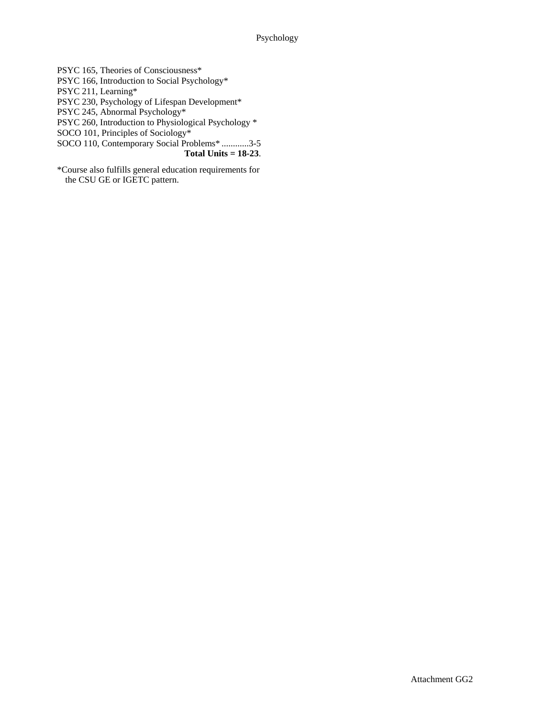PSYC 165, Theories of Consciousness\* PSYC 166, Introduction to Social Psychology\* PSYC 211, Learning\* PSYC 230, Psychology of Lifespan Development\* PSYC 245, Abnormal Psychology\* PSYC 260, Introduction to Physiological Psychology \* SOCO 101, Principles of Sociology\* SOCO 110, Contemporary Social Problems\* ............3-5 **Total Units = 18-23**.

\*Course also fulfills general education requirements for the CSU GE or IGETC pattern.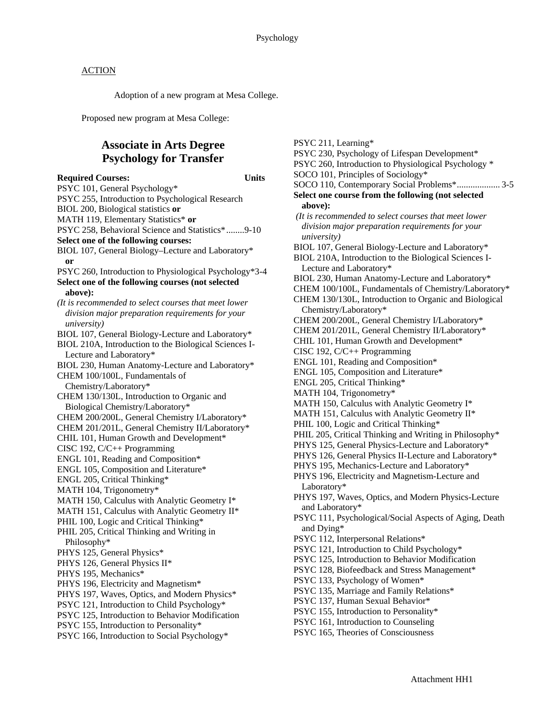Adoption of a new program at Mesa College.

Proposed new program at Mesa College:

## **Associate in Arts Degree Psychology for Transfer**

**Required Courses: Units**  PSYC 101, General Psychology\* PSYC 255, Introduction to Psychological Research BIOL 200, Biological statistics **or** MATH 119, Elementary Statistics\* **or** PSYC 258, Behavioral Science and Statistics\* ........9-10 **Select one of the following courses:** BIOL 107, General Biology–Lecture and Laboratory\* **or** PSYC 260, Introduction to Physiological Psychology\*3-4 **Select one of the following courses (not selected above):**  *(It is recommended to select courses that meet lower division major preparation requirements for your university)*  BIOL 107, General Biology-Lecture and Laboratory\* BIOL 210A, Introduction to the Biological Sciences I-Lecture and Laboratory\* BIOL 230, Human Anatomy-Lecture and Laboratory\* CHEM 100/100L, Fundamentals of Chemistry/Laboratory\* CHEM 130/130L, Introduction to Organic and Biological Chemistry/Laboratory\* CHEM 200/200L, General Chemistry I/Laboratory\* CHEM 201/201L, General Chemistry II/Laboratory\* CHIL 101, Human Growth and Development\* CISC 192, C/C++ Programming ENGL 101, Reading and Composition\* ENGL 105, Composition and Literature\* ENGL 205, Critical Thinking\* MATH 104, Trigonometry\* MATH 150, Calculus with Analytic Geometry I\* MATH 151, Calculus with Analytic Geometry II\* PHIL 100, Logic and Critical Thinking\* PHIL 205, Critical Thinking and Writing in Philosophy\* PHYS 125, General Physics\* PHYS 126, General Physics II\* PHYS 195, Mechanics\* PHYS 196, Electricity and Magnetism\* PHYS 197, Waves, Optics, and Modern Physics\* PSYC 121, Introduction to Child Psychology\* PSYC 125, Introduction to Behavior Modification PSYC 155, Introduction to Personality\* PSYC 166, Introduction to Social Psychology\*

PSYC 211, Learning\* PSYC 230, Psychology of Lifespan Development\* PSYC 260, Introduction to Physiological Psychology \* SOCO 101, Principles of Sociology\* SOCO 110, Contemporary Social Problems\* ................... 3-5 **Select one course from the following (not selected above):**  *(It is recommended to select courses that meet lower division major preparation requirements for your university)*  BIOL 107, General Biology-Lecture and Laboratory\* BIOL 210A, Introduction to the Biological Sciences I-Lecture and Laboratory\* BIOL 230, Human Anatomy-Lecture and Laboratory\* CHEM 100/100L, Fundamentals of Chemistry/Laboratory\* CHEM 130/130L, Introduction to Organic and Biological Chemistry/Laboratory\* CHEM 200/200L, General Chemistry I/Laboratory\* CHEM 201/201L, General Chemistry II/Laboratory\* CHIL 101, Human Growth and Development\* CISC 192, C/C++ Programming ENGL 101, Reading and Composition\* ENGL 105, Composition and Literature\* ENGL 205, Critical Thinking\* MATH 104, Trigonometry\* MATH 150, Calculus with Analytic Geometry I\* MATH 151, Calculus with Analytic Geometry II\* PHIL 100, Logic and Critical Thinking\* PHIL 205, Critical Thinking and Writing in Philosophy\* PHYS 125, General Physics-Lecture and Laboratory\* PHYS 126, General Physics II-Lecture and Laboratory\* PHYS 195, Mechanics-Lecture and Laboratory\* PHYS 196, Electricity and Magnetism-Lecture and Laboratory\* PHYS 197, Waves, Optics, and Modern Physics-Lecture and Laboratory\* PSYC 111, Psychological/Social Aspects of Aging, Death and Dying\* PSYC 112, Interpersonal Relations\* PSYC 121, Introduction to Child Psychology\* PSYC 125, Introduction to Behavior Modification PSYC 128, Biofeedback and Stress Management\* PSYC 133, Psychology of Women\* PSYC 135, Marriage and Family Relations\* PSYC 137, Human Sexual Behavior\* PSYC 155, Introduction to Personality\* PSYC 161, Introduction to Counseling

PSYC 165, Theories of Consciousness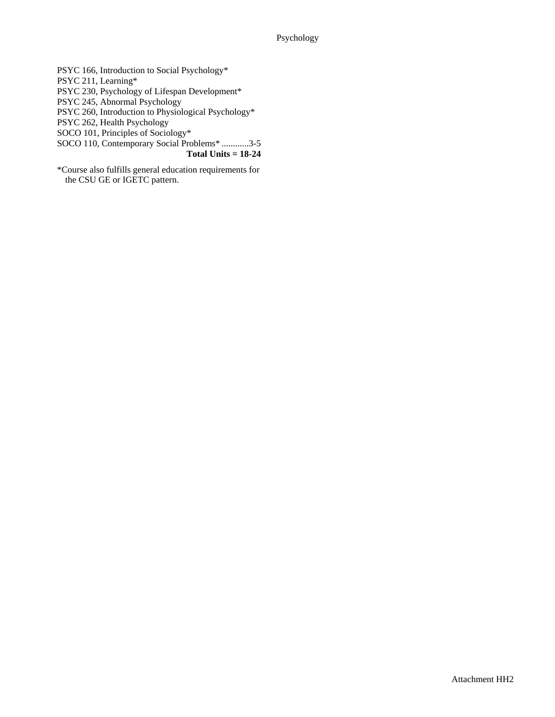PSYC 166, Introduction to Social Psychology\*

PSYC 211, Learning\*

PSYC 230, Psychology of Lifespan Development\*

PSYC 245, Abnormal Psychology

PSYC 260, Introduction to Physiological Psychology\*

PSYC 262, Health Psychology

SOCO 101, Principles of Sociology\*

SOCO 110, Contemporary Social Problems\* ............3-5

**Total Units = 18-24** 

\*Course also fulfills general education requirements for the CSU GE or IGETC pattern.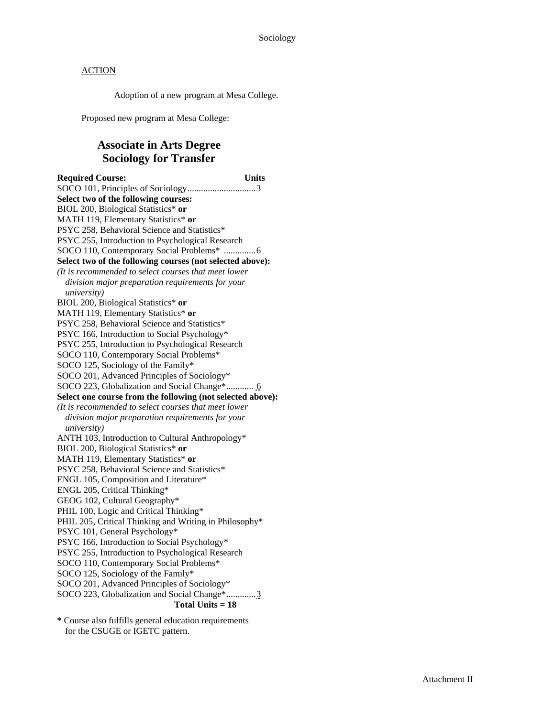Adoption of a new program at Mesa College.

Proposed new program at Mesa College:

## **Associate in Arts Degree Sociology for Transfer**

**Required Course: Units**  SOCO 101, Principles of Sociology .............................. 3 **Select two of the following courses:**  BIOL 200, Biological Statistics\* **or** MATH 119, Elementary Statistics\* **or** PSYC 258, Behavioral Science and Statistics\* PSYC 255, Introduction to Psychological Research SOCO 110, Contemporary Social Problems\* .............. 6 **Select two of the following courses (not selected above):**  *(It is recommended to select courses that meet lower division major preparation requirements for your university)*  BIOL 200, Biological Statistics\* **or** MATH 119, Elementary Statistics\* **or** PSYC 258, Behavioral Science and Statistics\* PSYC 166, Introduction to Social Psychology\* PSYC 255, Introduction to Psychological Research SOCO 110, Contemporary Social Problems\* SOCO 125, Sociology of the Family\* SOCO 201, Advanced Principles of Sociology\* SOCO 223, Globalization and Social Change\* ............ 6 **Select one course from the following (not selected above):**  *(It is recommended to select courses that meet lower division major preparation requirements for your university)*  ANTH 103, Introduction to Cultural Anthropology\* BIOL 200, Biological Statistics\* **or** MATH 119, Elementary Statistics\* **or** PSYC 258, Behavioral Science and Statistics\* ENGL 105, Composition and Literature\* ENGL 205, Critical Thinking\* GEOG 102, Cultural Geography\* PHIL 100, Logic and Critical Thinking\* PHIL 205, Critical Thinking and Writing in Philosophy\* PSYC 101, General Psychology\* PSYC 166, Introduction to Social Psychology\* PSYC 255, Introduction to Psychological Research SOCO 110, Contemporary Social Problems\* SOCO 125, Sociology of the Family\* SOCO 201, Advanced Principles of Sociology\* SOCO 223, Globalization and Social Change\* ............. 3  **Total Units = 18** 

**\*** Course also fulfills general education requirements for the CSUGE or IGETC pattern.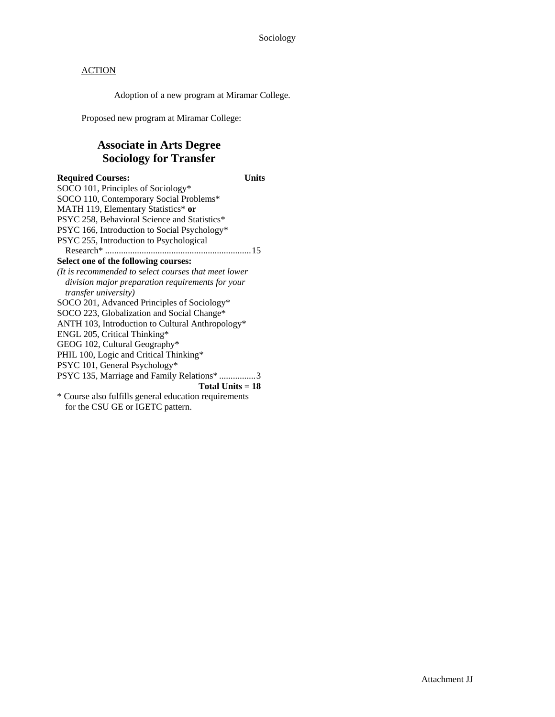Adoption of a new program at Miramar College.

Proposed new program at Miramar College:

## **Associate in Arts Degree Sociology for Transfer**

### **Required Courses: Units**  SOCO 101, Principles of Sociology\* SOCO 110, Contemporary Social Problems\* MATH 119, Elementary Statistics\* **or** PSYC 258, Behavioral Science and Statistics\* PSYC 166, Introduction to Social Psychology\* PSYC 255, Introduction to Psychological Research\* ................................................................ 15 **Select one of the following courses:**  *(It is recommended to select courses that meet lower division major preparation requirements for your transfer university)*  SOCO 201, Advanced Principles of Sociology\* SOCO 223, Globalization and Social Change\* ANTH 103, Introduction to Cultural Anthropology\* ENGL 205, Critical Thinking\* GEOG 102, Cultural Geography\* PHIL 100, Logic and Critical Thinking\* PSYC 101, General Psychology\* PSYC 135, Marriage and Family Relations\* ................ 3 **Total Units = 18**  \* Course also fulfills general education requirements for the CSU GE or IGETC pattern.